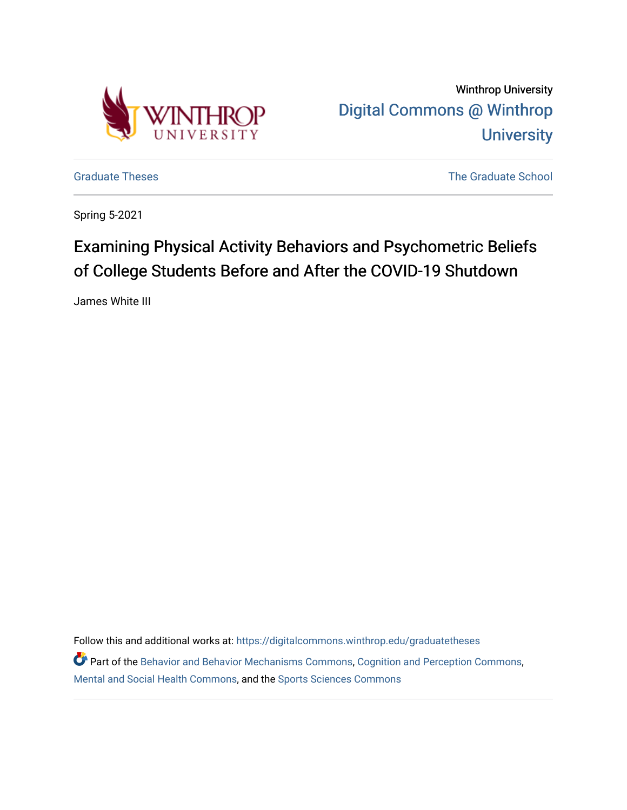

Winthrop University [Digital Commons @ Winthrop](https://digitalcommons.winthrop.edu/)  **University** 

[Graduate Theses](https://digitalcommons.winthrop.edu/graduatetheses) **The Graduate School** Craduate School Craduate School Craduate School Craduate School Craduate School

Spring 5-2021

# Examining Physical Activity Behaviors and Psychometric Beliefs of College Students Before and After the COVID-19 Shutdown

James White III

Follow this and additional works at: [https://digitalcommons.winthrop.edu/graduatetheses](https://digitalcommons.winthrop.edu/graduatetheses?utm_source=digitalcommons.winthrop.edu%2Fgraduatetheses%2F137&utm_medium=PDF&utm_campaign=PDFCoverPages)

Part of the [Behavior and Behavior Mechanisms Commons,](http://network.bepress.com/hgg/discipline/963?utm_source=digitalcommons.winthrop.edu%2Fgraduatetheses%2F137&utm_medium=PDF&utm_campaign=PDFCoverPages) [Cognition and Perception Commons,](http://network.bepress.com/hgg/discipline/407?utm_source=digitalcommons.winthrop.edu%2Fgraduatetheses%2F137&utm_medium=PDF&utm_campaign=PDFCoverPages) [Mental and Social Health Commons,](http://network.bepress.com/hgg/discipline/709?utm_source=digitalcommons.winthrop.edu%2Fgraduatetheses%2F137&utm_medium=PDF&utm_campaign=PDFCoverPages) and the [Sports Sciences Commons](http://network.bepress.com/hgg/discipline/759?utm_source=digitalcommons.winthrop.edu%2Fgraduatetheses%2F137&utm_medium=PDF&utm_campaign=PDFCoverPages)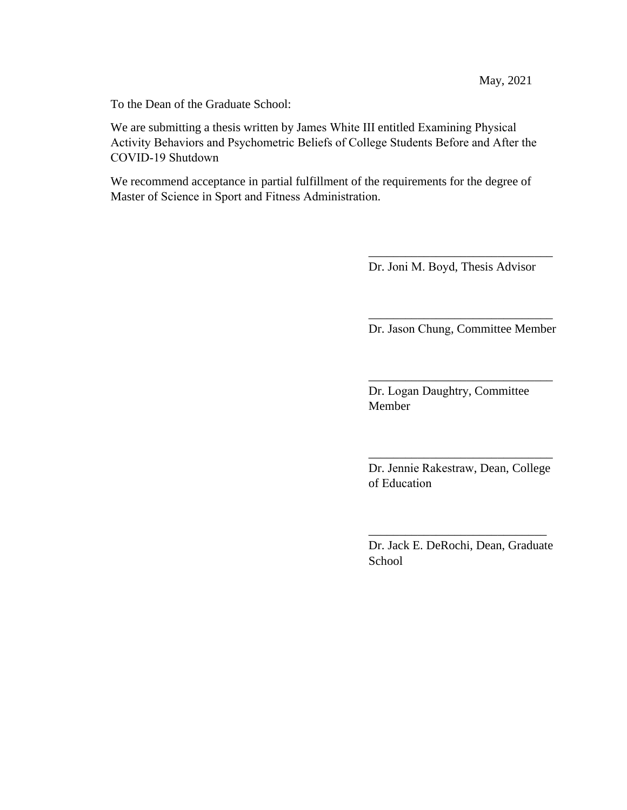To the Dean of the Graduate School:

We are submitting a thesis written by James White III entitled Examining Physical Activity Behaviors and Psychometric Beliefs of College Students Before and After the COVID-19 Shutdown

We recommend acceptance in partial fulfillment of the requirements for the degree of Master of Science in Sport and Fitness Administration.

Dr. Joni M. Boyd, Thesis Advisor

\_\_\_\_\_\_\_\_\_\_\_\_\_\_\_\_\_\_\_\_\_\_\_\_\_\_\_\_\_\_

\_\_\_\_\_\_\_\_\_\_\_\_\_\_\_\_\_\_\_\_\_\_\_\_\_\_\_\_\_\_ Dr. Jason Chung, Committee Member

\_\_\_\_\_\_\_\_\_\_\_\_\_\_\_\_\_\_\_\_\_\_\_\_\_\_\_\_\_\_

Dr. Logan Daughtry, Committee Member

Dr. Jennie Rakestraw, Dean, College of Education

\_\_\_\_\_\_\_\_\_\_\_\_\_\_\_\_\_\_\_\_\_\_\_\_\_\_\_\_\_\_

Dr. Jack E. DeRochi, Dean, Graduate **School** 

\_\_\_\_\_\_\_\_\_\_\_\_\_\_\_\_\_\_\_\_\_\_\_\_\_\_\_\_\_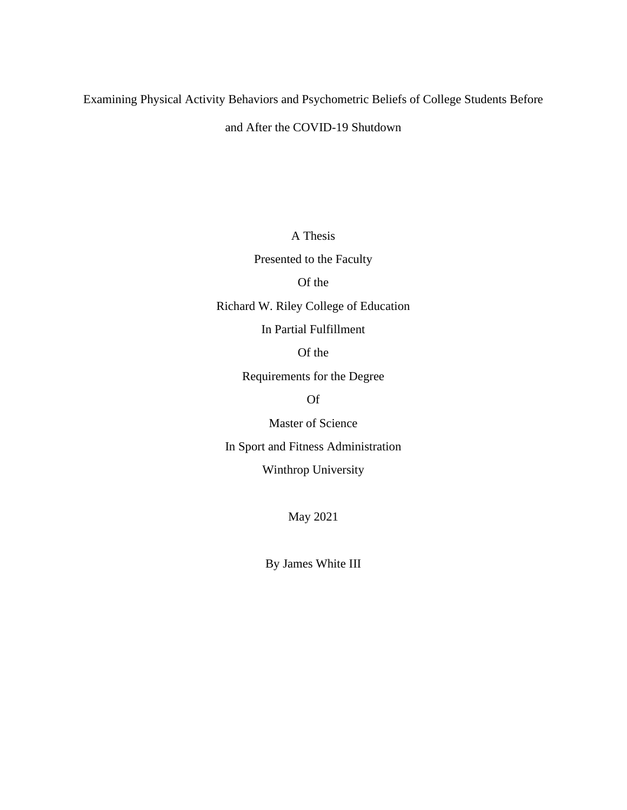Examining Physical Activity Behaviors and Psychometric Beliefs of College Students Before

and After the COVID-19 Shutdown

A Thesis

Presented to the Faculty

## Of the

Richard W. Riley College of Education

In Partial Fulfillment

Of the

Requirements for the Degree

Of

Master of Science

In Sport and Fitness Administration

Winthrop University

May 2021

By James White III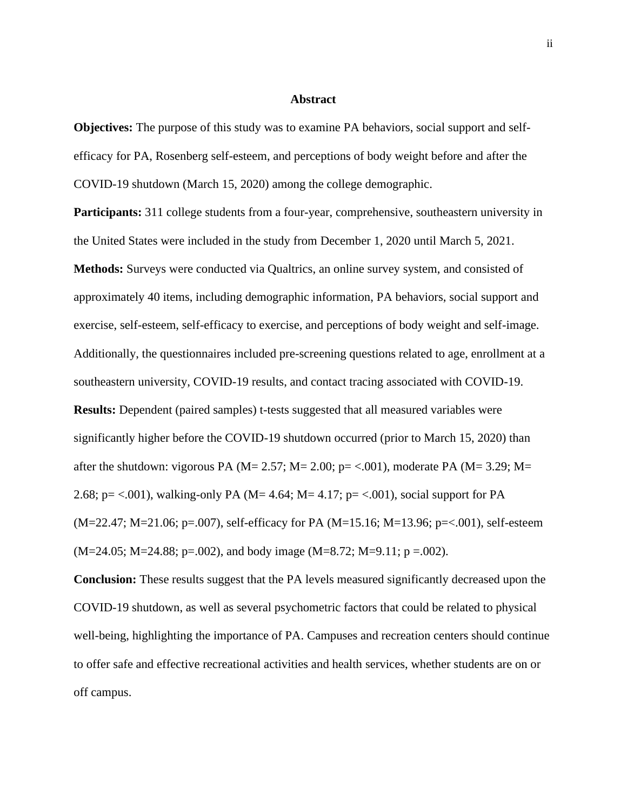#### **Abstract**

**Objectives:** The purpose of this study was to examine PA behaviors, social support and selfefficacy for PA, Rosenberg self-esteem, and perceptions of body weight before and after the COVID-19 shutdown (March 15, 2020) among the college demographic.

**Participants:** 311 college students from a four-year, comprehensive, southeastern university in the United States were included in the study from December 1, 2020 until March 5, 2021. **Methods:** Surveys were conducted via Qualtrics, an online survey system, and consisted of approximately 40 items, including demographic information, PA behaviors, social support and exercise, self-esteem, self-efficacy to exercise, and perceptions of body weight and self-image. Additionally, the questionnaires included pre-screening questions related to age, enrollment at a southeastern university, COVID-19 results, and contact tracing associated with COVID-19. **Results:** Dependent (paired samples) t-tests suggested that all measured variables were significantly higher before the COVID-19 shutdown occurred (prior to March 15, 2020) than after the shutdown: vigorous PA ( $M = 2.57$ ;  $M = 2.00$ ;  $p = < .001$ ), moderate PA ( $M = 3.29$ ;  $M =$ 2.68; p= <.001), walking-only PA (M= 4.64; M= 4.17; p= <.001), social support for PA (M=22.47; M=21.06; p=.007), self-efficacy for PA (M=15.16; M=13.96; p=<.001), self-esteem  $(M=24.05; M=24.88; p=.002)$ , and body image  $(M=8.72; M=9.11; p=.002)$ .

**Conclusion:** These results suggest that the PA levels measured significantly decreased upon the COVID-19 shutdown, as well as several psychometric factors that could be related to physical well-being, highlighting the importance of PA. Campuses and recreation centers should continue to offer safe and effective recreational activities and health services, whether students are on or off campus.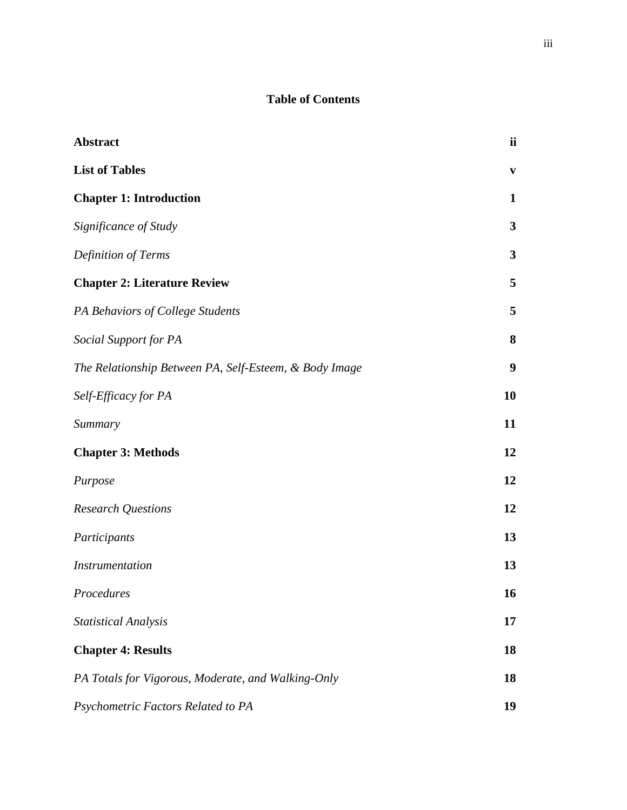## **Table of Contents**

| Abstract                                               | ii               |
|--------------------------------------------------------|------------------|
| <b>List of Tables</b>                                  | $\mathbf{v}$     |
| <b>Chapter 1: Introduction</b>                         | 1                |
| Significance of Study                                  | $\mathbf{3}$     |
| Definition of Terms                                    | $\mathbf{3}$     |
| <b>Chapter 2: Literature Review</b>                    | 5                |
| PA Behaviors of College Students                       | 5                |
| Social Support for PA                                  | 8                |
| The Relationship Between PA, Self-Esteem, & Body Image | $\boldsymbol{9}$ |
| Self-Efficacy for PA                                   | 10               |
| Summary                                                | 11               |
| <b>Chapter 3: Methods</b>                              | 12               |
| Purpose                                                | 12               |
| <b>Research Questions</b>                              | 12               |
| Participants                                           | 13               |
| <i>Instrumentation</i>                                 | 13               |
| Procedures                                             | 16               |
| <b>Statistical Analysis</b>                            | 17               |
| <b>Chapter 4: Results</b>                              | 18               |
| PA Totals for Vigorous, Moderate, and Walking-Only     | 18               |
| Psychometric Factors Related to PA                     | 19               |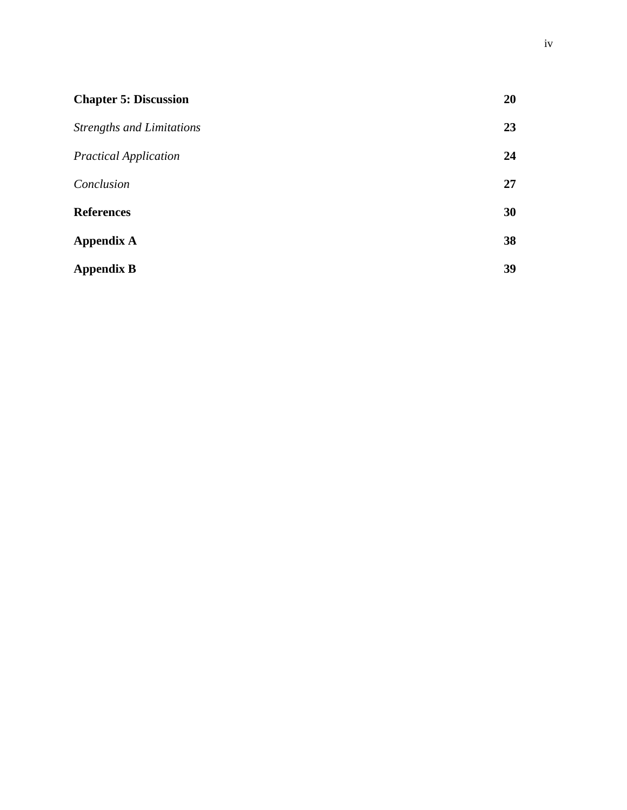| <b>Chapter 5: Discussion</b>     | 20 |
|----------------------------------|----|
| <b>Strengths and Limitations</b> | 23 |
| <b>Practical Application</b>     | 24 |
| Conclusion                       | 27 |
| <b>References</b>                | 30 |
| <b>Appendix A</b>                | 38 |
| <b>Appendix B</b>                | 39 |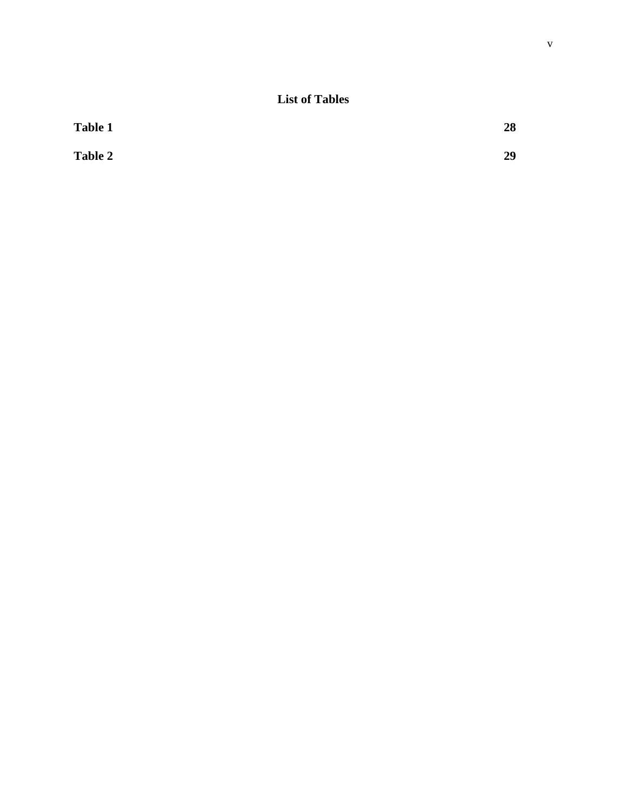## **List of Tables**

| <b>Table 1</b> | 28 |
|----------------|----|
| <b>Table 2</b> | 29 |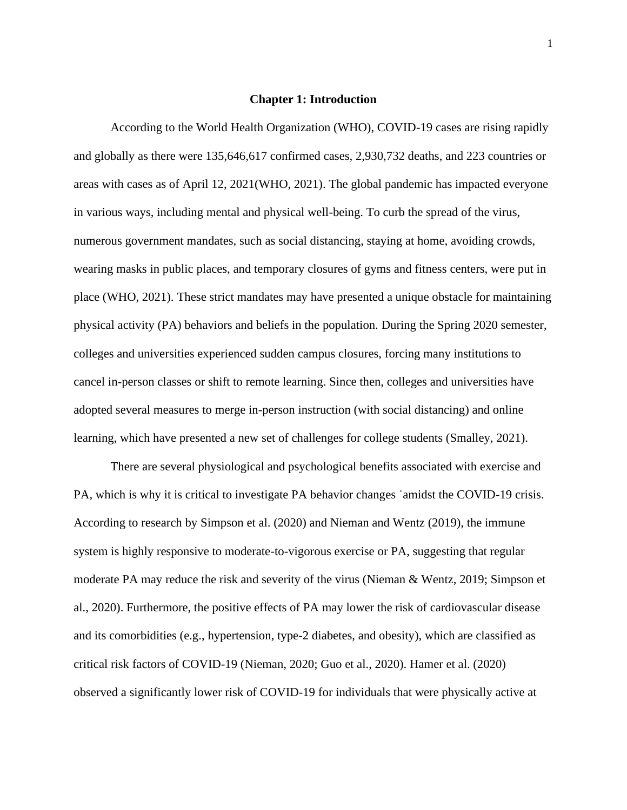#### **Chapter 1: Introduction**

According to the World Health Organization (WHO), COVID-19 cases are rising rapidly and globally as there were 135,646,617 confirmed cases, 2,930,732 deaths, and 223 countries or areas with cases as of April 12, 2021(WHO, 2021). The global pandemic has impacted everyone in various ways, including mental and physical well-being. To curb the spread of the virus, numerous government mandates, such as social distancing, staying at home, avoiding crowds, wearing masks in public places, and temporary closures of gyms and fitness centers, were put in place (WHO, 2021). These strict mandates may have presented a unique obstacle for maintaining physical activity (PA) behaviors and beliefs in the population. During the Spring 2020 semester, colleges and universities experienced sudden campus closures, forcing many institutions to cancel in-person classes or shift to remote learning. Since then, colleges and universities have adopted several measures to merge in-person instruction (with social distancing) and online learning, which have presented a new set of challenges for college students (Smalley, 2021).

There are several physiological and psychological benefits associated with exercise and PA, which is why it is critical to investigate PA behavior changes ˙amidst the COVID-19 crisis. According to research by Simpson et al. (2020) and Nieman and Wentz (2019), the immune system is highly responsive to moderate-to-vigorous exercise or PA, suggesting that regular moderate PA may reduce the risk and severity of the virus (Nieman & Wentz, 2019; Simpson et al., 2020). Furthermore, the positive effects of PA may lower the risk of cardiovascular disease and its comorbidities (e.g., hypertension, type-2 diabetes, and obesity), which are classified as critical risk factors of COVID-19 (Nieman, 2020; Guo et al., 2020). Hamer et al. (2020) observed a significantly lower risk of COVID-19 for individuals that were physically active at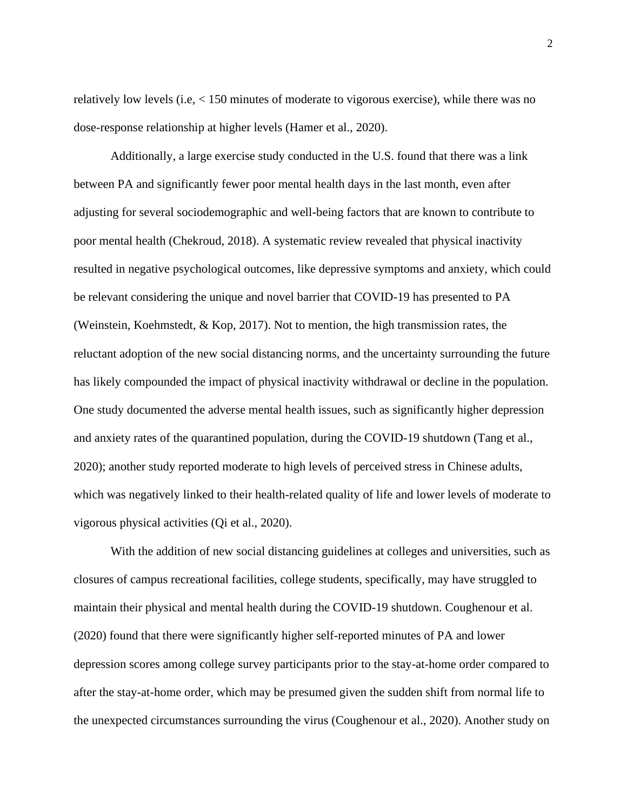relatively low levels (i.e, < 150 minutes of moderate to vigorous exercise), while there was no dose-response relationship at higher levels (Hamer et al., 2020).

Additionally, a large exercise study conducted in the U.S. found that there was a link between PA and significantly fewer poor mental health days in the last month, even after adjusting for several sociodemographic and well-being factors that are known to contribute to poor mental health (Chekroud, 2018). A systematic review revealed that physical inactivity resulted in negative psychological outcomes, like depressive symptoms and anxiety, which could be relevant considering the unique and novel barrier that COVID-19 has presented to PA (Weinstein, Koehmstedt, & Kop, 2017). Not to mention, the high transmission rates, the reluctant adoption of the new social distancing norms, and the uncertainty surrounding the future has likely compounded the impact of physical inactivity withdrawal or decline in the population. One study documented the adverse mental health issues, such as significantly higher depression and anxiety rates of the quarantined population, during the COVID-19 shutdown (Tang et al., 2020); another study reported moderate to high levels of perceived stress in Chinese adults, which was negatively linked to their health-related quality of life and lower levels of moderate to vigorous physical activities (Qi et al., 2020).

With the addition of new social distancing guidelines at colleges and universities, such as closures of campus recreational facilities, college students, specifically, may have struggled to maintain their physical and mental health during the COVID-19 shutdown. Coughenour et al. (2020) found that there were significantly higher self-reported minutes of PA and lower depression scores among college survey participants prior to the stay-at-home order compared to after the stay-at-home order, which may be presumed given the sudden shift from normal life to the unexpected circumstances surrounding the virus (Coughenour et al., 2020). Another study on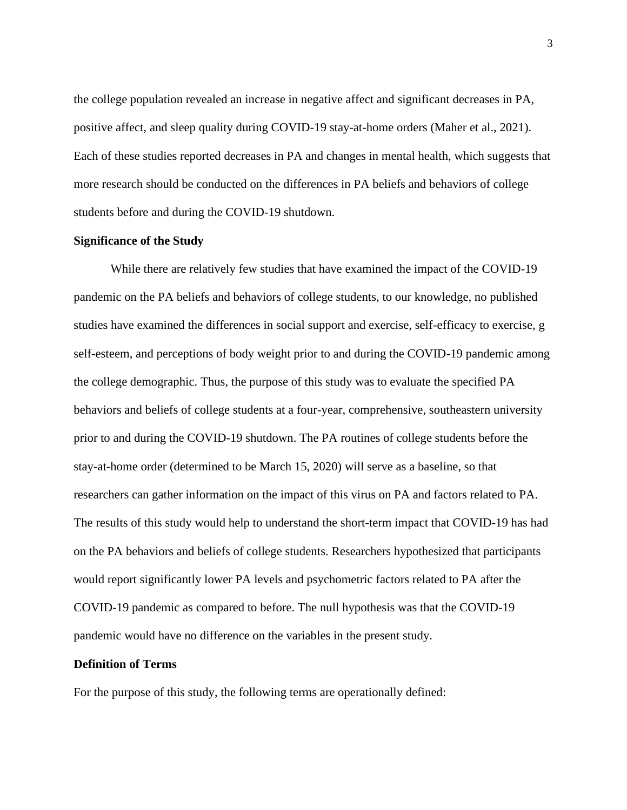the college population revealed an increase in negative affect and significant decreases in PA, positive affect, and sleep quality during COVID-19 stay-at-home orders (Maher et al., 2021). Each of these studies reported decreases in PA and changes in mental health, which suggests that more research should be conducted on the differences in PA beliefs and behaviors of college students before and during the COVID-19 shutdown.

#### **Significance of the Study**

While there are relatively few studies that have examined the impact of the COVID-19 pandemic on the PA beliefs and behaviors of college students, to our knowledge, no published studies have examined the differences in social support and exercise, self-efficacy to exercise, g self-esteem, and perceptions of body weight prior to and during the COVID-19 pandemic among the college demographic. Thus, the purpose of this study was to evaluate the specified PA behaviors and beliefs of college students at a four-year, comprehensive, southeastern university prior to and during the COVID-19 shutdown. The PA routines of college students before the stay-at-home order (determined to be March 15, 2020) will serve as a baseline, so that researchers can gather information on the impact of this virus on PA and factors related to PA. The results of this study would help to understand the short-term impact that COVID-19 has had on the PA behaviors and beliefs of college students. Researchers hypothesized that participants would report significantly lower PA levels and psychometric factors related to PA after the COVID-19 pandemic as compared to before. The null hypothesis was that the COVID-19 pandemic would have no difference on the variables in the present study.

### **Definition of Terms**

For the purpose of this study, the following terms are operationally defined: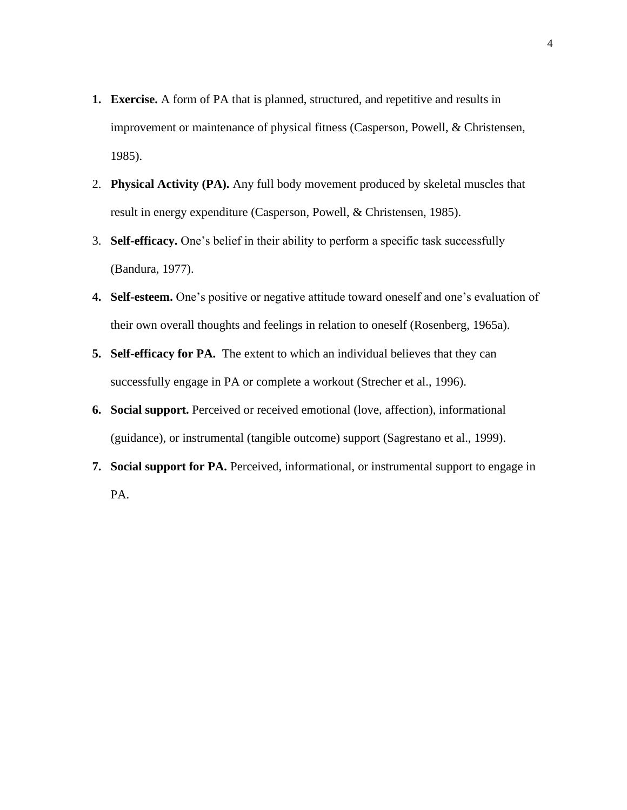- **1. Exercise.** A form of PA that is planned, structured, and repetitive and results in improvement or maintenance of physical fitness (Casperson, Powell, & Christensen, 1985).
- 2. **Physical Activity (PA).** Any full body movement produced by skeletal muscles that result in energy expenditure (Casperson, Powell, & Christensen, 1985).
- 3. **Self-efficacy.** One's belief in their ability to perform a specific task successfully (Bandura, 1977).
- **4. Self-esteem.** One's positive or negative attitude toward oneself and one's evaluation of their own overall thoughts and feelings in relation to oneself (Rosenberg, 1965a).
- **5. Self-efficacy for PA.** The extent to which an individual believes that they can successfully engage in PA or complete a workout (Strecher et al., 1996).
- **6. Social support.** Perceived or received emotional (love, affection), informational (guidance), or instrumental (tangible outcome) support (Sagrestano et al., 1999).
- **7. Social support for PA.** Perceived, informational, or instrumental support to engage in PA.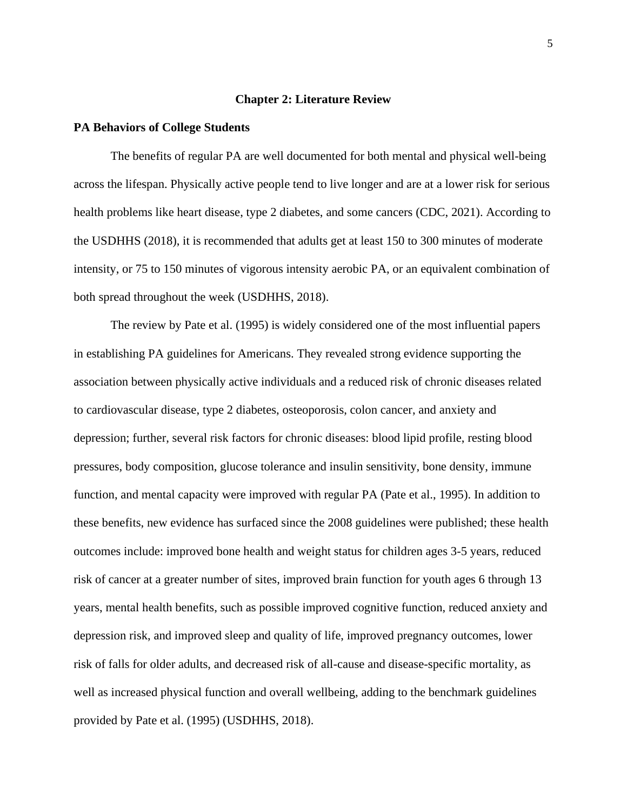#### **Chapter 2: Literature Review**

#### **PA Behaviors of College Students**

The benefits of regular PA are well documented for both mental and physical well-being across the lifespan. Physically active people tend to live longer and are at a lower risk for serious health problems like heart disease, type 2 diabetes, and some cancers (CDC, 2021). According to the USDHHS (2018), it is recommended that adults get at least 150 to 300 minutes of moderate intensity, or 75 to 150 minutes of vigorous intensity aerobic PA, or an equivalent combination of both spread throughout the week (USDHHS, 2018).

The review by Pate et al. (1995) is widely considered one of the most influential papers in establishing PA guidelines for Americans. They revealed strong evidence supporting the association between physically active individuals and a reduced risk of chronic diseases related to cardiovascular disease, type 2 diabetes, osteoporosis, colon cancer, and anxiety and depression; further, several risk factors for chronic diseases: blood lipid profile, resting blood pressures, body composition, glucose tolerance and insulin sensitivity, bone density, immune function, and mental capacity were improved with regular PA (Pate et al., 1995). In addition to these benefits, new evidence has surfaced since the 2008 guidelines were published; these health outcomes include: improved bone health and weight status for children ages 3-5 years, reduced risk of cancer at a greater number of sites, improved brain function for youth ages 6 through 13 years, mental health benefits, such as possible improved cognitive function, reduced anxiety and depression risk, and improved sleep and quality of life, improved pregnancy outcomes, lower risk of falls for older adults, and decreased risk of all-cause and disease-specific mortality, as well as increased physical function and overall wellbeing, adding to the benchmark guidelines provided by Pate et al. (1995) (USDHHS, 2018).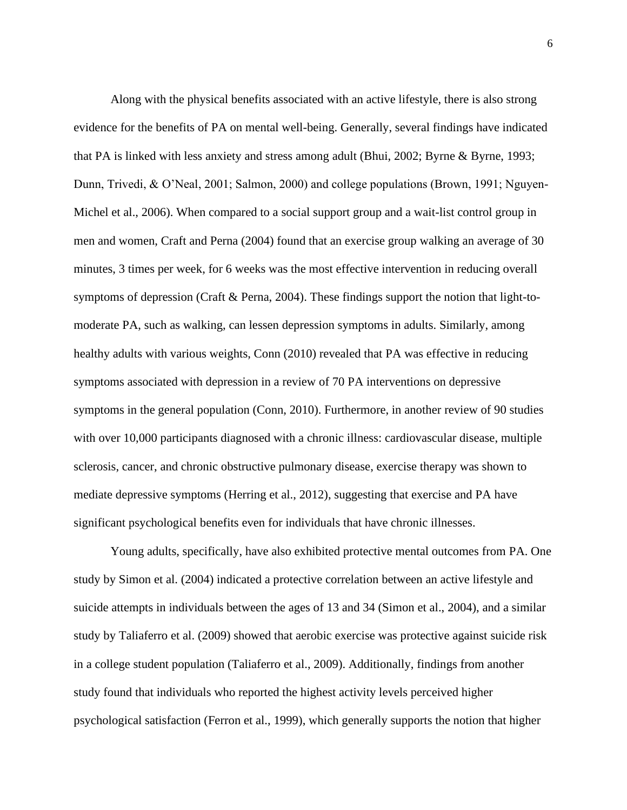Along with the physical benefits associated with an active lifestyle, there is also strong evidence for the benefits of PA on mental well-being. Generally, several findings have indicated that PA is linked with less anxiety and stress among adult (Bhui, 2002; Byrne & Byrne, 1993; Dunn, Trivedi, & O'Neal, 2001; Salmon, 2000) and college populations (Brown, 1991; Nguyen-Michel et al., 2006). When compared to a social support group and a wait-list control group in men and women, Craft and Perna (2004) found that an exercise group walking an average of 30 minutes, 3 times per week, for 6 weeks was the most effective intervention in reducing overall symptoms of depression (Craft & Perna, 2004). These findings support the notion that light-tomoderate PA, such as walking, can lessen depression symptoms in adults. Similarly, among healthy adults with various weights, Conn (2010) revealed that PA was effective in reducing symptoms associated with depression in a review of 70 PA interventions on depressive symptoms in the general population (Conn, 2010). Furthermore, in another review of 90 studies with over 10,000 participants diagnosed with a chronic illness: cardiovascular disease, multiple sclerosis, cancer, and chronic obstructive pulmonary disease, exercise therapy was shown to mediate depressive symptoms (Herring et al., 2012), suggesting that exercise and PA have significant psychological benefits even for individuals that have chronic illnesses.

Young adults, specifically, have also exhibited protective mental outcomes from PA. One study by Simon et al. (2004) indicated a protective correlation between an active lifestyle and suicide attempts in individuals between the ages of 13 and 34 (Simon et al., 2004), and a similar study by Taliaferro et al. (2009) showed that aerobic exercise was protective against suicide risk in a college student population (Taliaferro et al., 2009). Additionally, findings from another study found that individuals who reported the highest activity levels perceived higher psychological satisfaction (Ferron et al., 1999), which generally supports the notion that higher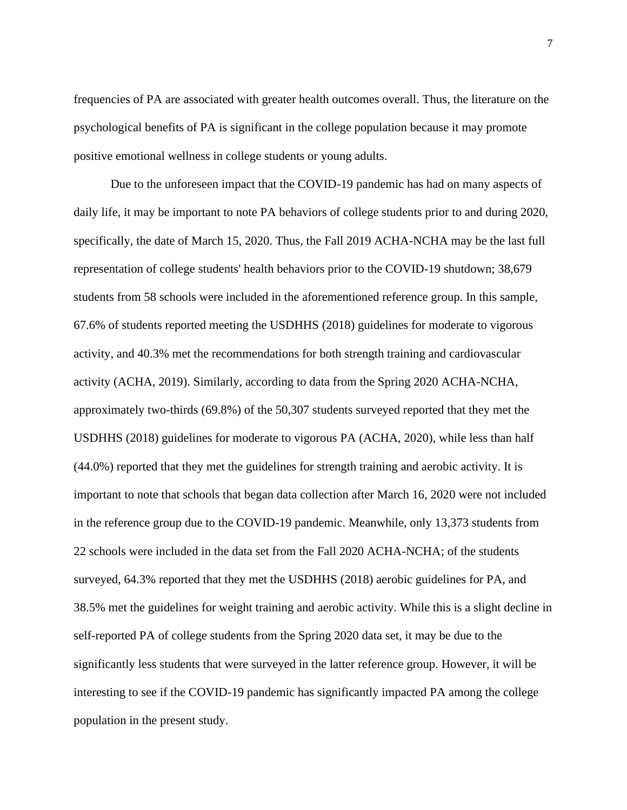frequencies of PA are associated with greater health outcomes overall. Thus, the literature on the psychological benefits of PA is significant in the college population because it may promote positive emotional wellness in college students or young adults.

Due to the unforeseen impact that the COVID-19 pandemic has had on many aspects of daily life, it may be important to note PA behaviors of college students prior to and during 2020, specifically, the date of March 15, 2020. Thus, the Fall 2019 ACHA-NCHA may be the last full representation of college students' health behaviors prior to the COVID-19 shutdown; 38,679 students from 58 schools were included in the aforementioned reference group. In this sample, 67.6% of students reported meeting the USDHHS (2018) guidelines for moderate to vigorous activity, and 40.3% met the recommendations for both strength training and cardiovascular activity (ACHA, 2019). Similarly, according to data from the Spring 2020 ACHA-NCHA, approximately two-thirds (69.8%) of the 50,307 students surveyed reported that they met the USDHHS (2018) guidelines for moderate to vigorous PA (ACHA, 2020), while less than half (44.0%) reported that they met the guidelines for strength training and aerobic activity. It is important to note that schools that began data collection after March 16, 2020 were not included in the reference group due to the COVID-19 pandemic. Meanwhile, only 13,373 students from 22 schools were included in the data set from the Fall 2020 ACHA-NCHA; of the students surveyed, 64.3% reported that they met the USDHHS (2018) aerobic guidelines for PA, and 38.5% met the guidelines for weight training and aerobic activity. While this is a slight decline in self-reported PA of college students from the Spring 2020 data set, it may be due to the significantly less students that were surveyed in the latter reference group. However, it will be interesting to see if the COVID-19 pandemic has significantly impacted PA among the college population in the present study.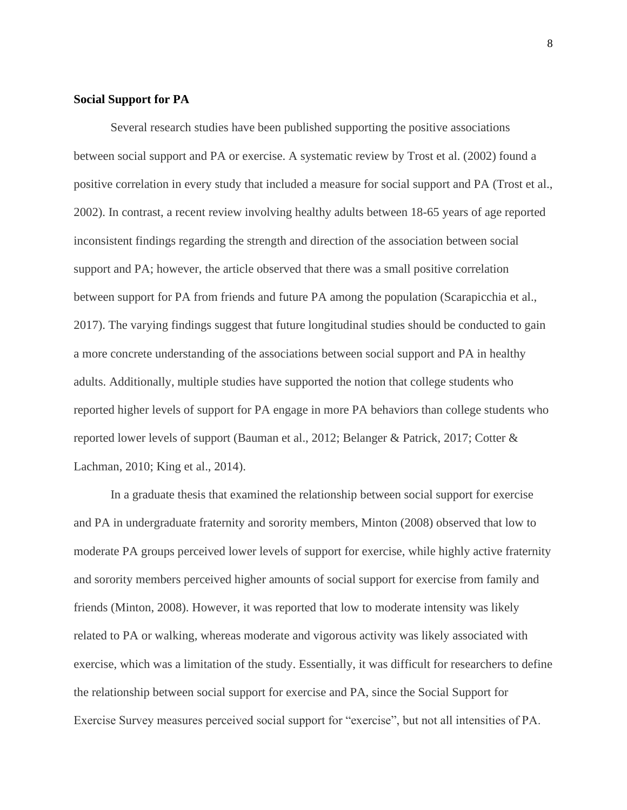### **Social Support for PA**

Several research studies have been published supporting the positive associations between social support and PA or exercise. A systematic review by Trost et al. (2002) found a positive correlation in every study that included a measure for social support and PA (Trost et al., 2002). In contrast, a recent review involving healthy adults between 18-65 years of age reported inconsistent findings regarding the strength and direction of the association between social support and PA; however, the article observed that there was a small positive correlation between support for PA from friends and future PA among the population (Scarapicchia et al., 2017). The varying findings suggest that future longitudinal studies should be conducted to gain a more concrete understanding of the associations between social support and PA in healthy adults. Additionally, multiple studies have supported the notion that college students who reported higher levels of support for PA engage in more PA behaviors than college students who reported lower levels of support (Bauman et al., 2012; Belanger & Patrick, 2017; Cotter & Lachman, 2010; King et al., 2014).

In a graduate thesis that examined the relationship between social support for exercise and PA in undergraduate fraternity and sorority members, Minton (2008) observed that low to moderate PA groups perceived lower levels of support for exercise, while highly active fraternity and sorority members perceived higher amounts of social support for exercise from family and friends (Minton, 2008). However, it was reported that low to moderate intensity was likely related to PA or walking, whereas moderate and vigorous activity was likely associated with exercise, which was a limitation of the study. Essentially, it was difficult for researchers to define the relationship between social support for exercise and PA, since the Social Support for Exercise Survey measures perceived social support for "exercise", but not all intensities of PA.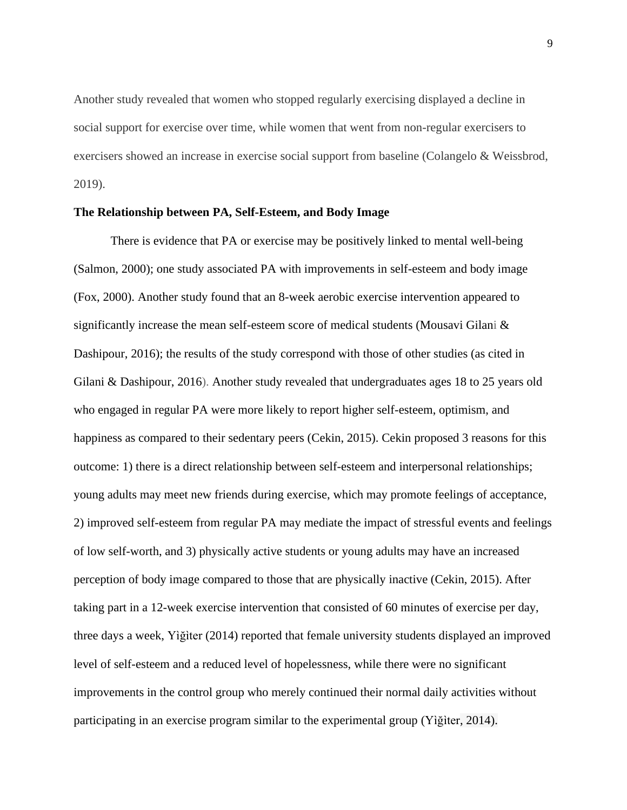Another study revealed that women who stopped regularly exercising displayed a decline in social support for exercise over time, while women that went from non-regular exercisers to exercisers showed an increase in exercise social support from baseline (Colangelo & Weissbrod, 2019).

#### **The Relationship between PA, Self-Esteem, and Body Image**

There is evidence that PA or exercise may be positively linked to mental well-being (Salmon, 2000); one study associated PA with improvements in self-esteem and body image (Fox, 2000). Another study found that an 8-week aerobic exercise intervention appeared to significantly increase the mean self-esteem score of medical students (Mousavi Gilani  $\&$ Dashipour, 2016); the results of the study correspond with those of other studies (as cited in Gilani & Dashipour, 2016). Another study revealed that undergraduates ages 18 to 25 years old who engaged in regular PA were more likely to report higher self-esteem, optimism, and happiness as compared to their sedentary peers (Cekin, 2015). Cekin proposed 3 reasons for this outcome: 1) there is a direct relationship between self-esteem and interpersonal relationships; young adults may meet new friends during exercise, which may promote feelings of acceptance, 2) improved self-esteem from regular PA may mediate the impact of stressful events and feelings of low self-worth, and 3) physically active students or young adults may have an increased perception of body image compared to those that are physically inactive (Cekin, 2015). After taking part in a 12-week exercise intervention that consisted of 60 minutes of exercise per day, three days a week, Yìğìter (2014) reported that female university students displayed an improved level of self-esteem and a reduced level of hopelessness, while there were no significant improvements in the control group who merely continued their normal daily activities without participating in an exercise program similar to the experimental group (Yìğìter, 2014).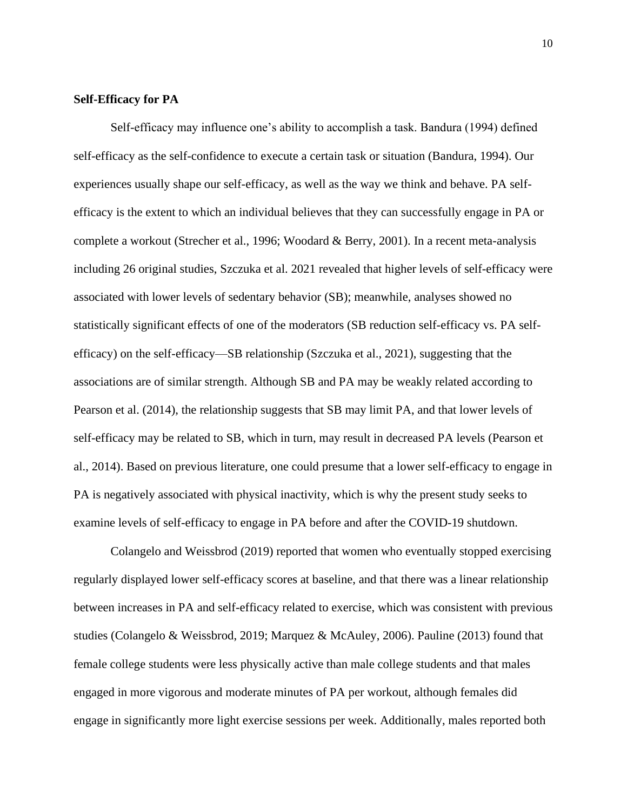#### **Self-Efficacy for PA**

Self-efficacy may influence one's ability to accomplish a task. Bandura (1994) defined self-efficacy as the self-confidence to execute a certain task or situation (Bandura, 1994). Our experiences usually shape our self-efficacy, as well as the way we think and behave. PA selfefficacy is the extent to which an individual believes that they can successfully engage in PA or complete a workout (Strecher et al., 1996; Woodard & Berry, 2001). In a recent meta-analysis including 26 original studies, Szczuka et al. 2021 revealed that higher levels of self-efficacy were associated with lower levels of sedentary behavior (SB); meanwhile, analyses showed no statistically significant effects of one of the moderators (SB reduction self-efficacy vs. PA selfefficacy) on the self-efficacy—SB relationship (Szczuka et al., 2021), suggesting that the associations are of similar strength. Although SB and PA may be weakly related according to Pearson et al. (2014), the relationship suggests that SB may limit PA, and that lower levels of self-efficacy may be related to SB, which in turn, may result in decreased PA levels (Pearson et al., 2014). Based on previous literature, one could presume that a lower self-efficacy to engage in PA is negatively associated with physical inactivity, which is why the present study seeks to examine levels of self-efficacy to engage in PA before and after the COVID-19 shutdown.

Colangelo and Weissbrod (2019) reported that women who eventually stopped exercising regularly displayed lower self-efficacy scores at baseline, and that there was a linear relationship between increases in PA and self-efficacy related to exercise, which was consistent with previous studies (Colangelo & Weissbrod, 2019; Marquez & McAuley, 2006). Pauline (2013) found that female college students were less physically active than male college students and that males engaged in more vigorous and moderate minutes of PA per workout, although females did engage in significantly more light exercise sessions per week. Additionally, males reported both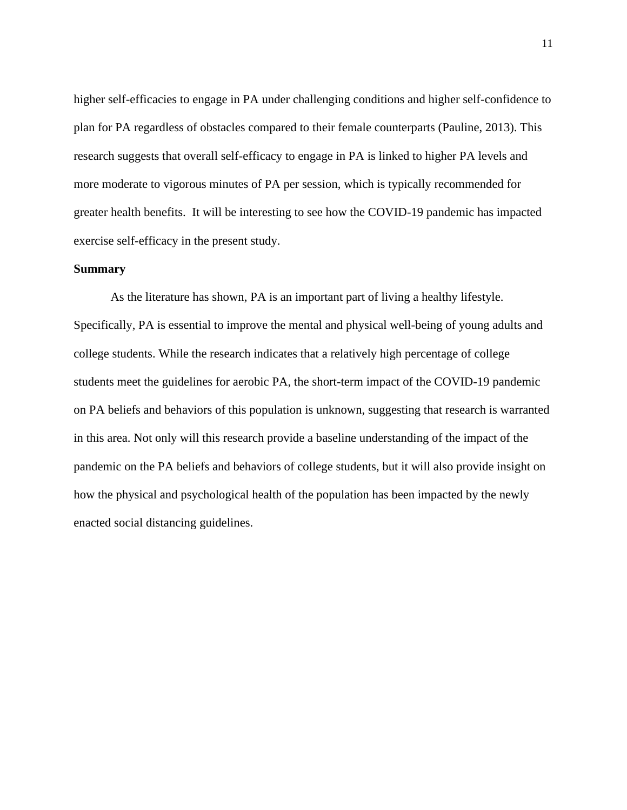higher self-efficacies to engage in PA under challenging conditions and higher self-confidence to plan for PA regardless of obstacles compared to their female counterparts (Pauline, 2013). This research suggests that overall self-efficacy to engage in PA is linked to higher PA levels and more moderate to vigorous minutes of PA per session, which is typically recommended for greater health benefits. It will be interesting to see how the COVID-19 pandemic has impacted exercise self-efficacy in the present study.

## **Summary**

As the literature has shown, PA is an important part of living a healthy lifestyle. Specifically, PA is essential to improve the mental and physical well-being of young adults and college students. While the research indicates that a relatively high percentage of college students meet the guidelines for aerobic PA, the short-term impact of the COVID-19 pandemic on PA beliefs and behaviors of this population is unknown, suggesting that research is warranted in this area. Not only will this research provide a baseline understanding of the impact of the pandemic on the PA beliefs and behaviors of college students, but it will also provide insight on how the physical and psychological health of the population has been impacted by the newly enacted social distancing guidelines.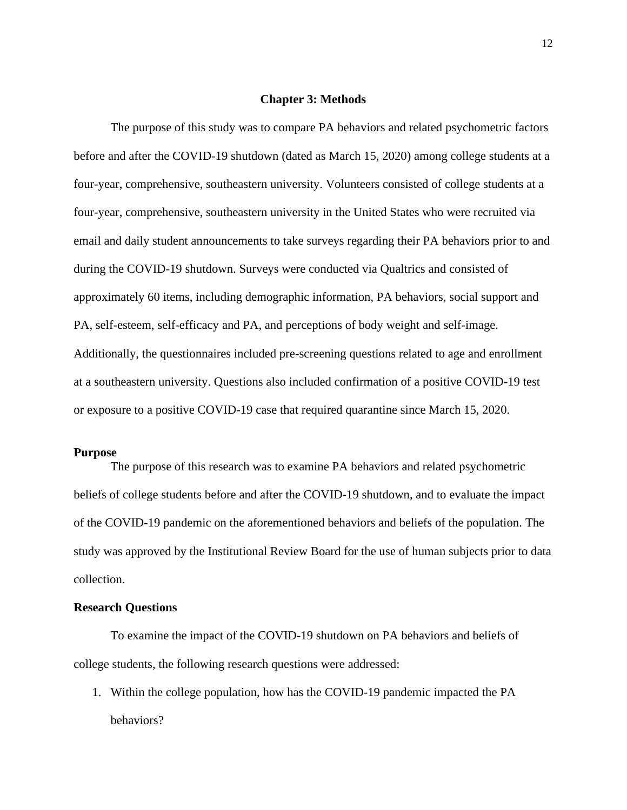#### **Chapter 3: Methods**

The purpose of this study was to compare PA behaviors and related psychometric factors before and after the COVID-19 shutdown (dated as March 15, 2020) among college students at a four-year, comprehensive, southeastern university. Volunteers consisted of college students at a four-year, comprehensive, southeastern university in the United States who were recruited via email and daily student announcements to take surveys regarding their PA behaviors prior to and during the COVID-19 shutdown. Surveys were conducted via Qualtrics and consisted of approximately 60 items, including demographic information, PA behaviors, social support and PA, self-esteem, self-efficacy and PA, and perceptions of body weight and self-image. Additionally, the questionnaires included pre-screening questions related to age and enrollment at a southeastern university. Questions also included confirmation of a positive COVID-19 test or exposure to a positive COVID-19 case that required quarantine since March 15, 2020.

## **Purpose**

The purpose of this research was to examine PA behaviors and related psychometric beliefs of college students before and after the COVID-19 shutdown, and to evaluate the impact of the COVID-19 pandemic on the aforementioned behaviors and beliefs of the population. The study was approved by the Institutional Review Board for the use of human subjects prior to data collection.

## **Research Questions**

To examine the impact of the COVID-19 shutdown on PA behaviors and beliefs of college students, the following research questions were addressed:

1. Within the college population, how has the COVID-19 pandemic impacted the PA behaviors?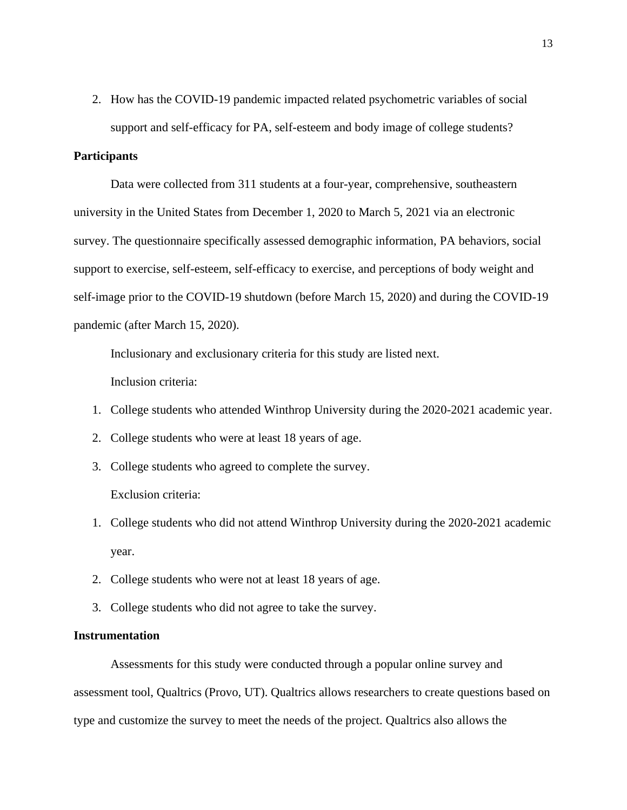2. How has the COVID-19 pandemic impacted related psychometric variables of social support and self-efficacy for PA, self-esteem and body image of college students?

## **Participants**

Data were collected from 311 students at a four-year, comprehensive, southeastern university in the United States from December 1, 2020 to March 5, 2021 via an electronic survey. The questionnaire specifically assessed demographic information, PA behaviors, social support to exercise, self-esteem, self-efficacy to exercise, and perceptions of body weight and self-image prior to the COVID-19 shutdown (before March 15, 2020) and during the COVID-19 pandemic (after March 15, 2020).

Inclusionary and exclusionary criteria for this study are listed next.

Inclusion criteria:

- 1. College students who attended Winthrop University during the 2020-2021 academic year.
- 2. College students who were at least 18 years of age.
- 3. College students who agreed to complete the survey. Exclusion criteria:
- 1. College students who did not attend Winthrop University during the 2020-2021 academic year.
- 2. College students who were not at least 18 years of age.
- 3. College students who did not agree to take the survey.

## **Instrumentation**

Assessments for this study were conducted through a popular online survey and assessment tool, Qualtrics (Provo, UT). Qualtrics allows researchers to create questions based on type and customize the survey to meet the needs of the project. Qualtrics also allows the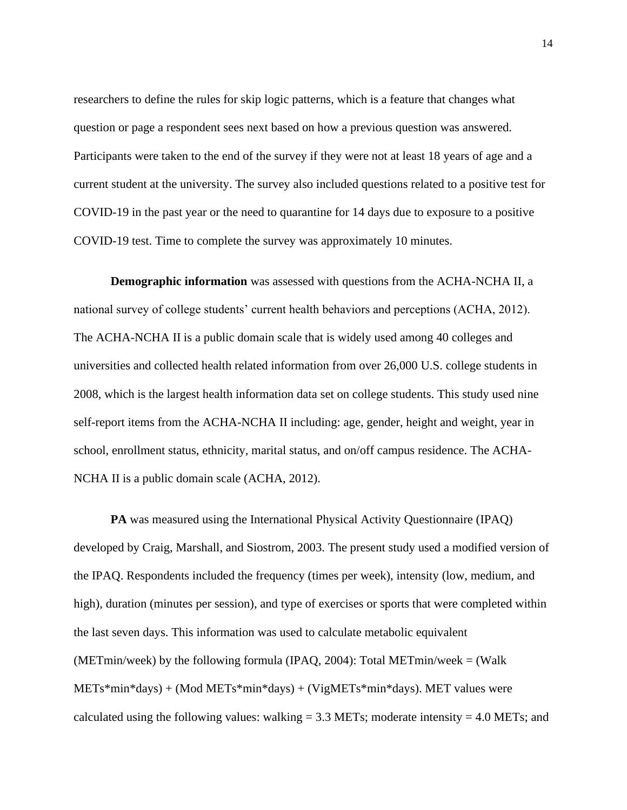researchers to define the rules for skip logic patterns, which is a feature that changes what question or page a respondent sees next based on how a previous question was answered. Participants were taken to the end of the survey if they were not at least 18 years of age and a current student at the university. The survey also included questions related to a positive test for COVID-19 in the past year or the need to quarantine for 14 days due to exposure to a positive COVID-19 test. Time to complete the survey was approximately 10 minutes.

**Demographic information** was assessed with questions from the ACHA-NCHA II, a national survey of college students' current health behaviors and perceptions (ACHA, 2012). The ACHA-NCHA II is a public domain scale that is widely used among 40 colleges and universities and collected health related information from over 26,000 U.S. college students in 2008, which is the largest health information data set on college students. This study used nine self-report items from the ACHA-NCHA II including: age, gender, height and weight, year in school, enrollment status, ethnicity, marital status, and on/off campus residence. The ACHA-NCHA II is a public domain scale (ACHA, 2012).

**PA** was measured using the International Physical Activity Questionnaire (IPAQ) developed by Craig, Marshall, and Siostrom, 2003. The present study used a modified version of the IPAQ. Respondents included the frequency (times per week), intensity (low, medium, and high), duration (minutes per session), and type of exercises or sports that were completed within the last seven days. This information was used to calculate metabolic equivalent (METmin/week) by the following formula (IPAQ, 2004): Total METmin/week = (Walk METs\*min\*days) + (Mod METs\*min\*days) + (VigMETs\*min\*days). MET values were calculated using the following values: walking  $= 3.3$  METs; moderate intensity  $= 4.0$  METs; and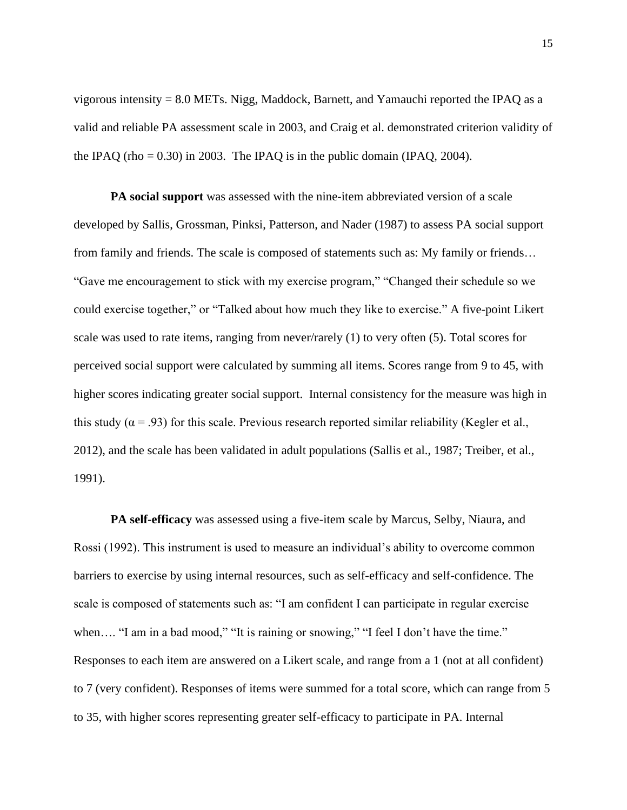vigorous intensity = 8.0 METs. Nigg, Maddock, Barnett, and Yamauchi reported the IPAQ as a valid and reliable PA assessment scale in 2003, and Craig et al. demonstrated criterion validity of the IPAQ (rho =  $0.30$ ) in 2003. The IPAQ is in the public domain (IPAQ, 2004).

**PA social support** was assessed with the nine-item abbreviated version of a scale developed by Sallis, Grossman, Pinksi, Patterson, and Nader (1987) to assess PA social support from family and friends. The scale is composed of statements such as: My family or friends… "Gave me encouragement to stick with my exercise program," "Changed their schedule so we could exercise together," or "Talked about how much they like to exercise." A five-point Likert scale was used to rate items, ranging from never/rarely (1) to very often (5). Total scores for perceived social support were calculated by summing all items. Scores range from 9 to 45, with higher scores indicating greater social support. Internal consistency for the measure was high in this study ( $\alpha$  = .93) for this scale. Previous research reported similar reliability (Kegler et al., 2012), and the scale has been validated in adult populations (Sallis et al., 1987; Treiber, et al., 1991).

**PA self-efficacy** was assessed using a five-item scale by Marcus, Selby, Niaura, and Rossi (1992). This instrument is used to measure an individual's ability to overcome common barriers to exercise by using internal resources, such as self-efficacy and self-confidence. The scale is composed of statements such as: "I am confident I can participate in regular exercise when.... "I am in a bad mood," "It is raining or snowing," "I feel I don't have the time." Responses to each item are answered on a Likert scale, and range from a 1 (not at all confident) to 7 (very confident). Responses of items were summed for a total score, which can range from 5 to 35, with higher scores representing greater self-efficacy to participate in PA. Internal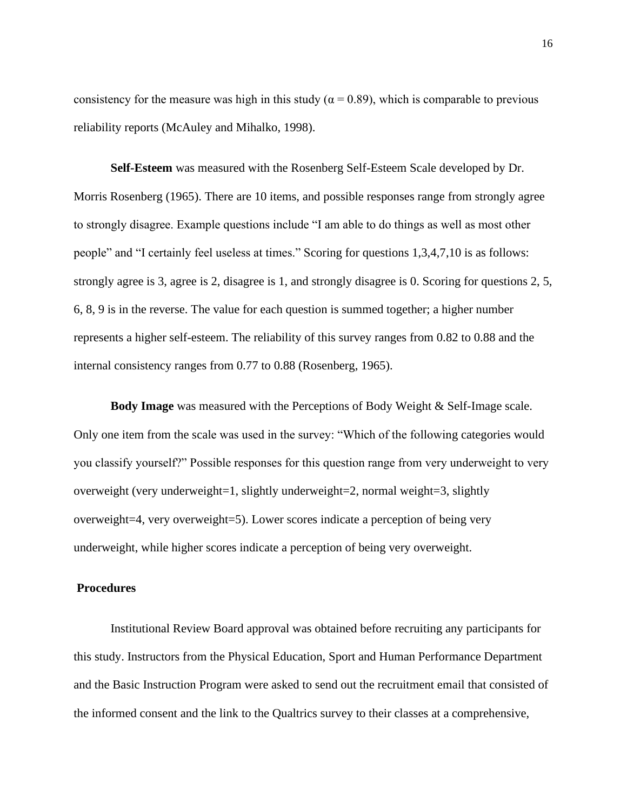consistency for the measure was high in this study ( $\alpha$  = 0.89), which is comparable to previous reliability reports (McAuley and Mihalko, 1998).

**Self-Esteem** was measured with the Rosenberg Self-Esteem Scale developed by Dr. Morris Rosenberg (1965). There are 10 items, and possible responses range from strongly agree to strongly disagree. Example questions include "I am able to do things as well as most other people" and "I certainly feel useless at times." Scoring for questions 1,3,4,7,10 is as follows: strongly agree is 3, agree is 2, disagree is 1, and strongly disagree is 0. Scoring for questions 2, 5, 6, 8, 9 is in the reverse. The value for each question is summed together; a higher number represents a higher self-esteem. The reliability of this survey ranges from 0.82 to 0.88 and the internal consistency ranges from 0.77 to 0.88 (Rosenberg, 1965).

**Body Image** was measured with the Perceptions of Body Weight & Self-Image scale. Only one item from the scale was used in the survey: "Which of the following categories would you classify yourself?" Possible responses for this question range from very underweight to very overweight (very underweight=1, slightly underweight=2, normal weight=3, slightly overweight=4, very overweight=5). Lower scores indicate a perception of being very underweight, while higher scores indicate a perception of being very overweight.

## **Procedures**

Institutional Review Board approval was obtained before recruiting any participants for this study. Instructors from the Physical Education, Sport and Human Performance Department and the Basic Instruction Program were asked to send out the recruitment email that consisted of the informed consent and the link to the Qualtrics survey to their classes at a comprehensive,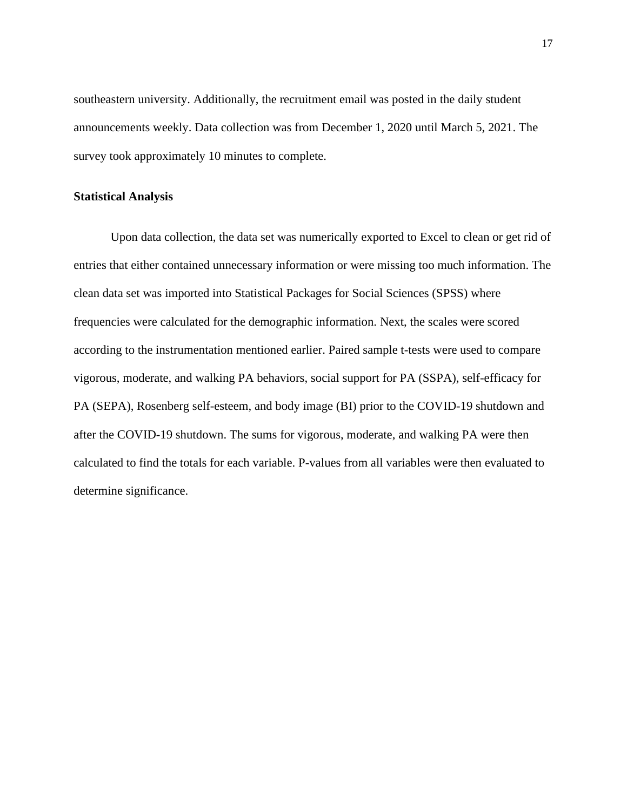southeastern university. Additionally, the recruitment email was posted in the daily student announcements weekly. Data collection was from December 1, 2020 until March 5, 2021. The survey took approximately 10 minutes to complete.

## **Statistical Analysis**

Upon data collection, the data set was numerically exported to Excel to clean or get rid of entries that either contained unnecessary information or were missing too much information. The clean data set was imported into Statistical Packages for Social Sciences (SPSS) where frequencies were calculated for the demographic information. Next, the scales were scored according to the instrumentation mentioned earlier. Paired sample t-tests were used to compare vigorous, moderate, and walking PA behaviors, social support for PA (SSPA), self-efficacy for PA (SEPA), Rosenberg self-esteem, and body image (BI) prior to the COVID-19 shutdown and after the COVID-19 shutdown. The sums for vigorous, moderate, and walking PA were then calculated to find the totals for each variable. P-values from all variables were then evaluated to determine significance.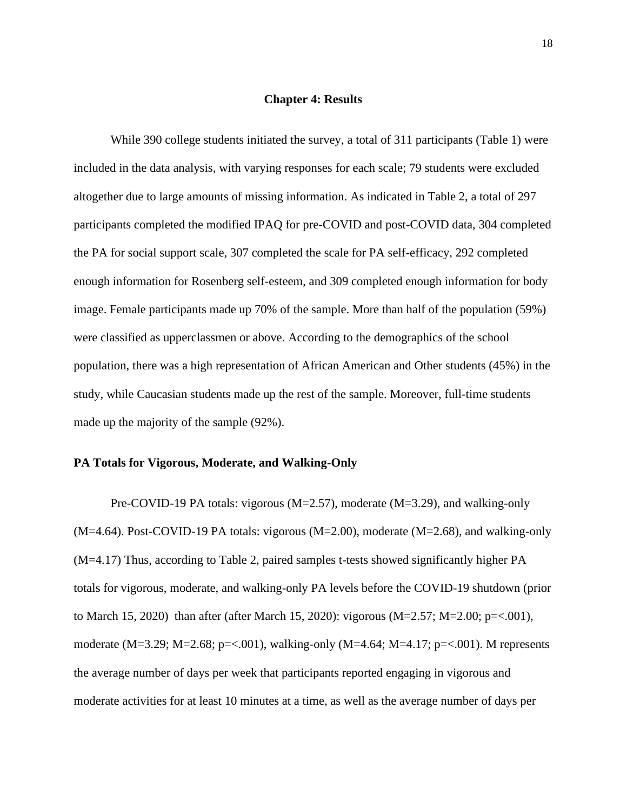#### **Chapter 4: Results**

While 390 college students initiated the survey, a total of 311 participants (Table 1) were included in the data analysis, with varying responses for each scale; 79 students were excluded altogether due to large amounts of missing information. As indicated in Table 2, a total of 297 participants completed the modified IPAQ for pre-COVID and post-COVID data, 304 completed the PA for social support scale, 307 completed the scale for PA self-efficacy, 292 completed enough information for Rosenberg self-esteem, and 309 completed enough information for body image. Female participants made up 70% of the sample. More than half of the population (59%) were classified as upperclassmen or above. According to the demographics of the school population, there was a high representation of African American and Other students (45%) in the study, while Caucasian students made up the rest of the sample. Moreover, full-time students made up the majority of the sample (92%).

## **PA Totals for Vigorous, Moderate, and Walking-Only**

Pre-COVID-19 PA totals: vigorous (M=2.57), moderate (M=3.29), and walking-only  $(M=4.64)$ . Post-COVID-19 PA totals: vigorous  $(M=2.00)$ , moderate  $(M=2.68)$ , and walking-only (M=4.17) Thus, according to Table 2, paired samples t-tests showed significantly higher PA totals for vigorous, moderate, and walking-only PA levels before the COVID-19 shutdown (prior to March 15, 2020) than after (after March 15, 2020): vigorous (M=2.57; M=2.00; p=<.001), moderate (M=3.29; M=2.68; p=<.001), walking-only (M=4.64; M=4.17; p=<.001). M represents the average number of days per week that participants reported engaging in vigorous and moderate activities for at least 10 minutes at a time, as well as the average number of days per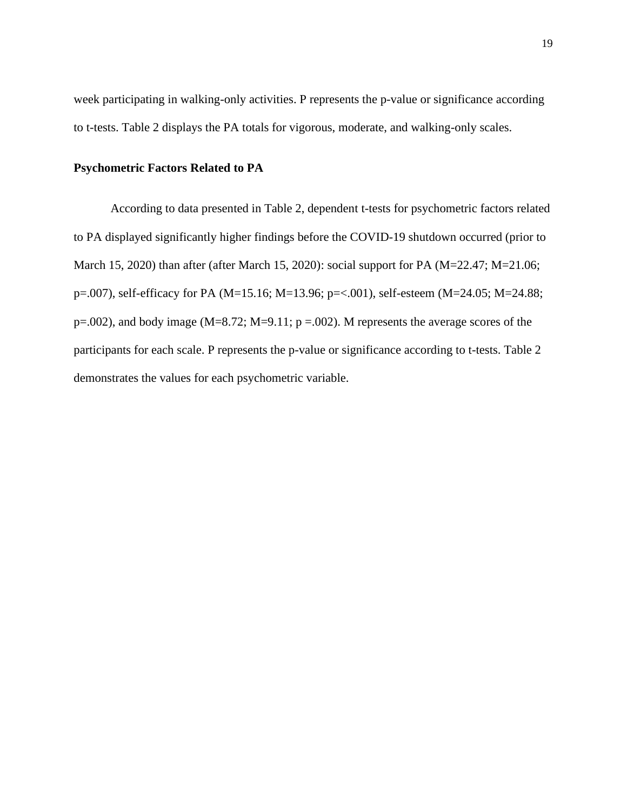week participating in walking-only activities. P represents the p-value or significance according to t-tests. Table 2 displays the PA totals for vigorous, moderate, and walking-only scales.

## **Psychometric Factors Related to PA**

According to data presented in Table 2, dependent t-tests for psychometric factors related to PA displayed significantly higher findings before the COVID-19 shutdown occurred (prior to March 15, 2020) than after (after March 15, 2020): social support for PA (M=22.47; M=21.06; p=.007), self-efficacy for PA (M=15.16; M=13.96; p=<.001), self-esteem (M=24.05; M=24.88;  $p=0.002$ ), and body image (M=8.72; M=9.11;  $p = 0.002$ ). M represents the average scores of the participants for each scale. P represents the p-value or significance according to t-tests. Table 2 demonstrates the values for each psychometric variable.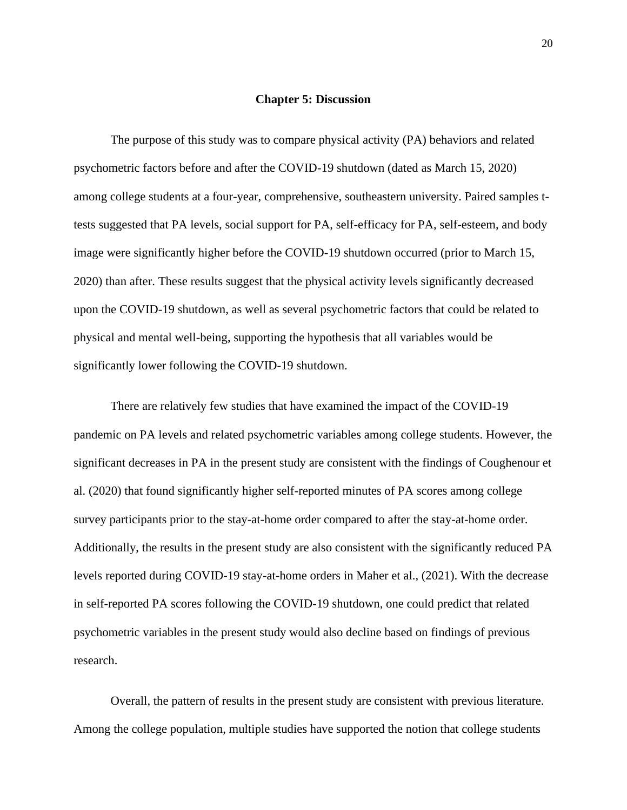#### **Chapter 5: Discussion**

The purpose of this study was to compare physical activity (PA) behaviors and related psychometric factors before and after the COVID-19 shutdown (dated as March 15, 2020) among college students at a four-year, comprehensive, southeastern university. Paired samples ttests suggested that PA levels, social support for PA, self-efficacy for PA, self-esteem, and body image were significantly higher before the COVID-19 shutdown occurred (prior to March 15, 2020) than after. These results suggest that the physical activity levels significantly decreased upon the COVID-19 shutdown, as well as several psychometric factors that could be related to physical and mental well-being, supporting the hypothesis that all variables would be significantly lower following the COVID-19 shutdown.

There are relatively few studies that have examined the impact of the COVID-19 pandemic on PA levels and related psychometric variables among college students. However, the significant decreases in PA in the present study are consistent with the findings of Coughenour et al. (2020) that found significantly higher self-reported minutes of PA scores among college survey participants prior to the stay-at-home order compared to after the stay-at-home order. Additionally, the results in the present study are also consistent with the significantly reduced PA levels reported during COVID-19 stay-at-home orders in Maher et al., (2021). With the decrease in self-reported PA scores following the COVID-19 shutdown, one could predict that related psychometric variables in the present study would also decline based on findings of previous research.

Overall, the pattern of results in the present study are consistent with previous literature. Among the college population, multiple studies have supported the notion that college students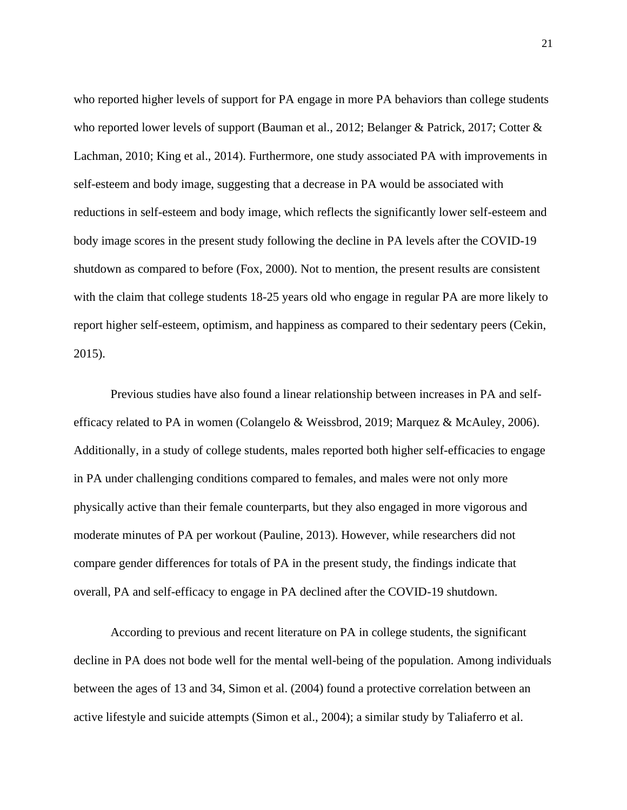who reported higher levels of support for PA engage in more PA behaviors than college students who reported lower levels of support (Bauman et al., 2012; Belanger & Patrick, 2017; Cotter & Lachman, 2010; King et al., 2014). Furthermore, one study associated PA with improvements in self-esteem and body image, suggesting that a decrease in PA would be associated with reductions in self-esteem and body image, which reflects the significantly lower self-esteem and body image scores in the present study following the decline in PA levels after the COVID-19 shutdown as compared to before (Fox, 2000). Not to mention, the present results are consistent with the claim that college students 18-25 years old who engage in regular PA are more likely to report higher self-esteem, optimism, and happiness as compared to their sedentary peers (Cekin, 2015).

Previous studies have also found a linear relationship between increases in PA and selfefficacy related to PA in women (Colangelo & Weissbrod, 2019; Marquez & McAuley, 2006). Additionally, in a study of college students, males reported both higher self-efficacies to engage in PA under challenging conditions compared to females, and males were not only more physically active than their female counterparts, but they also engaged in more vigorous and moderate minutes of PA per workout (Pauline, 2013). However, while researchers did not compare gender differences for totals of PA in the present study, the findings indicate that overall, PA and self-efficacy to engage in PA declined after the COVID-19 shutdown.

According to previous and recent literature on PA in college students, the significant decline in PA does not bode well for the mental well-being of the population. Among individuals between the ages of 13 and 34, Simon et al. (2004) found a protective correlation between an active lifestyle and suicide attempts (Simon et al., 2004); a similar study by Taliaferro et al.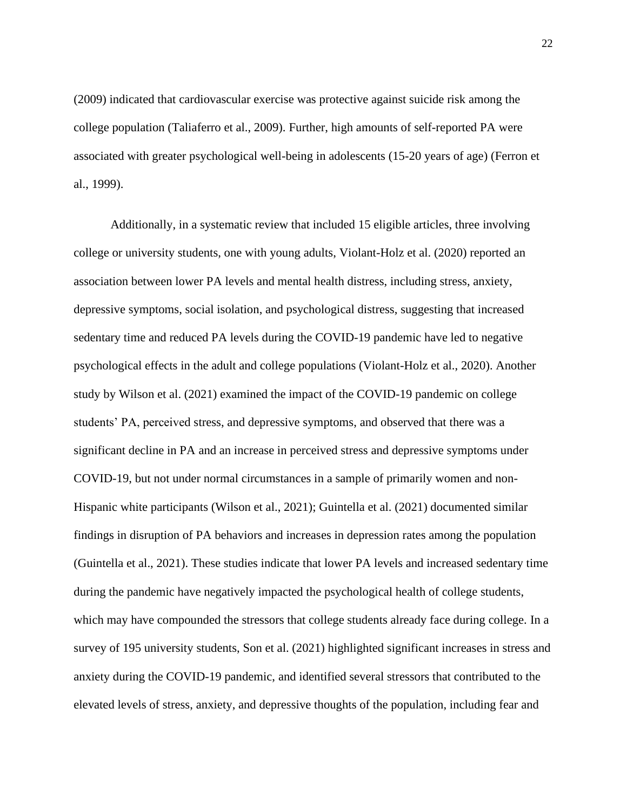(2009) indicated that cardiovascular exercise was protective against suicide risk among the college population (Taliaferro et al., 2009). Further, high amounts of self-reported PA were associated with greater psychological well-being in adolescents (15-20 years of age) (Ferron et al., 1999).

Additionally, in a systematic review that included 15 eligible articles, three involving college or university students, one with young adults, Violant-Holz et al. (2020) reported an association between lower PA levels and mental health distress, including stress, anxiety, depressive symptoms, social isolation, and psychological distress, suggesting that increased sedentary time and reduced PA levels during the COVID-19 pandemic have led to negative psychological effects in the adult and college populations (Violant-Holz et al., 2020). Another study by Wilson et al. (2021) examined the impact of the COVID-19 pandemic on college students' PA, perceived stress, and depressive symptoms, and observed that there was a significant decline in PA and an increase in perceived stress and depressive symptoms under COVID-19, but not under normal circumstances in a sample of primarily women and non-Hispanic white participants (Wilson et al., 2021); Guintella et al. (2021) documented similar findings in disruption of PA behaviors and increases in depression rates among the population (Guintella et al., 2021). These studies indicate that lower PA levels and increased sedentary time during the pandemic have negatively impacted the psychological health of college students, which may have compounded the stressors that college students already face during college. In a survey of 195 university students, Son et al. (2021) highlighted significant increases in stress and anxiety during the COVID-19 pandemic, and identified several stressors that contributed to the elevated levels of stress, anxiety, and depressive thoughts of the population, including fear and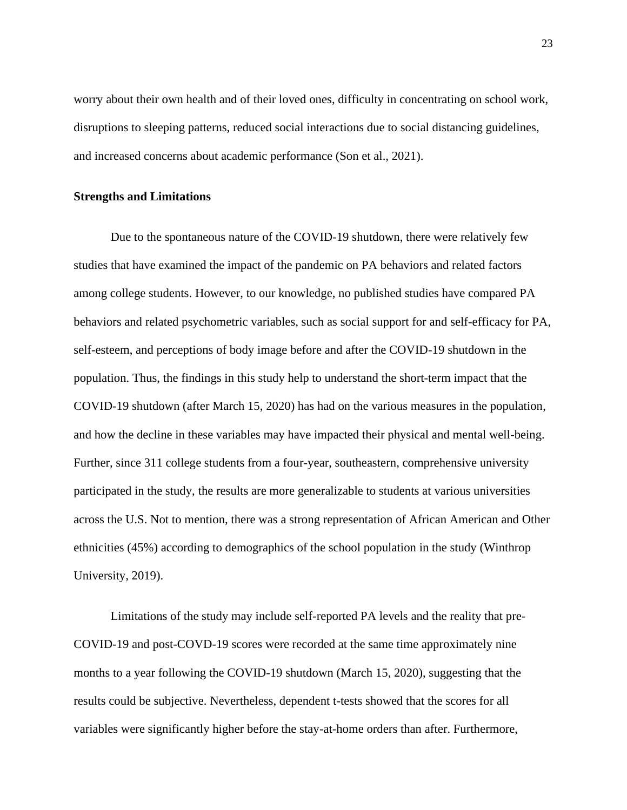worry about their own health and of their loved ones, difficulty in concentrating on school work, disruptions to sleeping patterns, reduced social interactions due to social distancing guidelines, and increased concerns about academic performance (Son et al., 2021).

## **Strengths and Limitations**

Due to the spontaneous nature of the COVID-19 shutdown, there were relatively few studies that have examined the impact of the pandemic on PA behaviors and related factors among college students. However, to our knowledge, no published studies have compared PA behaviors and related psychometric variables, such as social support for and self-efficacy for PA, self-esteem, and perceptions of body image before and after the COVID-19 shutdown in the population. Thus, the findings in this study help to understand the short-term impact that the COVID-19 shutdown (after March 15, 2020) has had on the various measures in the population, and how the decline in these variables may have impacted their physical and mental well-being. Further, since 311 college students from a four-year, southeastern, comprehensive university participated in the study, the results are more generalizable to students at various universities across the U.S. Not to mention, there was a strong representation of African American and Other ethnicities (45%) according to demographics of the school population in the study (Winthrop University, 2019).

Limitations of the study may include self-reported PA levels and the reality that pre-COVID-19 and post-COVD-19 scores were recorded at the same time approximately nine months to a year following the COVID-19 shutdown (March 15, 2020), suggesting that the results could be subjective. Nevertheless, dependent t-tests showed that the scores for all variables were significantly higher before the stay-at-home orders than after. Furthermore,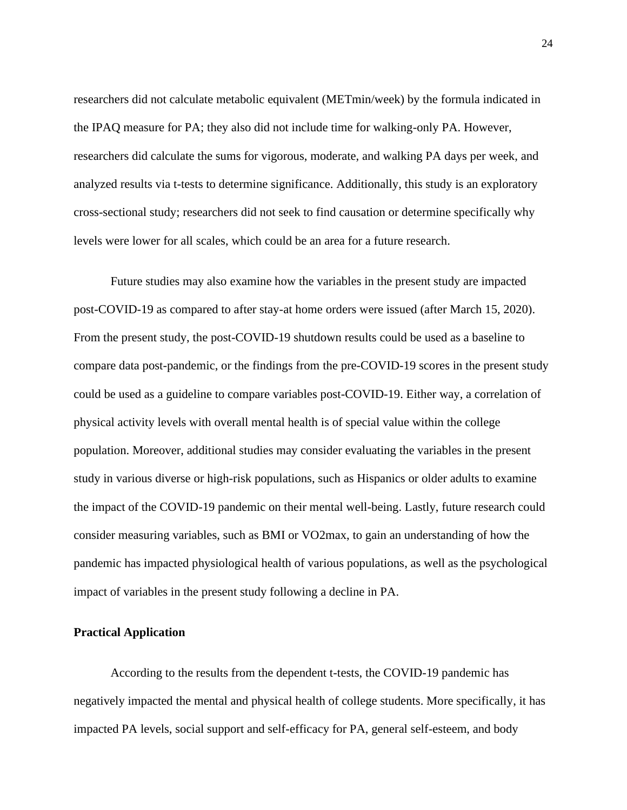researchers did not calculate metabolic equivalent (METmin/week) by the formula indicated in the IPAQ measure for PA; they also did not include time for walking-only PA. However, researchers did calculate the sums for vigorous, moderate, and walking PA days per week, and analyzed results via t-tests to determine significance. Additionally, this study is an exploratory cross-sectional study; researchers did not seek to find causation or determine specifically why levels were lower for all scales, which could be an area for a future research.

Future studies may also examine how the variables in the present study are impacted post-COVID-19 as compared to after stay-at home orders were issued (after March 15, 2020). From the present study, the post-COVID-19 shutdown results could be used as a baseline to compare data post-pandemic, or the findings from the pre-COVID-19 scores in the present study could be used as a guideline to compare variables post-COVID-19. Either way, a correlation of physical activity levels with overall mental health is of special value within the college population. Moreover, additional studies may consider evaluating the variables in the present study in various diverse or high-risk populations, such as Hispanics or older adults to examine the impact of the COVID-19 pandemic on their mental well-being. Lastly, future research could consider measuring variables, such as BMI or VO2max, to gain an understanding of how the pandemic has impacted physiological health of various populations, as well as the psychological impact of variables in the present study following a decline in PA.

## **Practical Application**

According to the results from the dependent t-tests, the COVID-19 pandemic has negatively impacted the mental and physical health of college students. More specifically, it has impacted PA levels, social support and self-efficacy for PA, general self-esteem, and body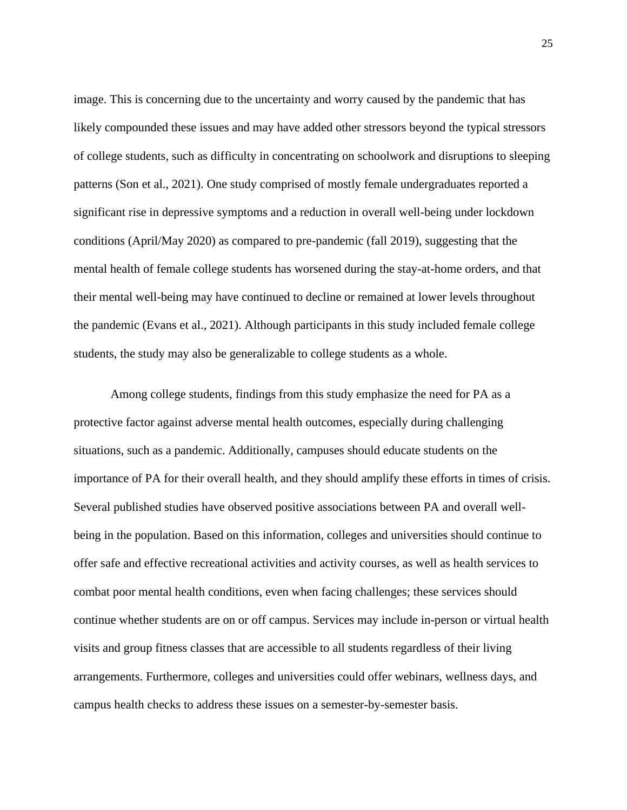image. This is concerning due to the uncertainty and worry caused by the pandemic that has likely compounded these issues and may have added other stressors beyond the typical stressors of college students, such as difficulty in concentrating on schoolwork and disruptions to sleeping patterns (Son et al., 2021). One study comprised of mostly female undergraduates reported a significant rise in depressive symptoms and a reduction in overall well-being under lockdown conditions (April/May 2020) as compared to pre-pandemic (fall 2019), suggesting that the mental health of female college students has worsened during the stay-at-home orders, and that their mental well-being may have continued to decline or remained at lower levels throughout the pandemic (Evans et al., 2021). Although participants in this study included female college students, the study may also be generalizable to college students as a whole.

Among college students, findings from this study emphasize the need for PA as a protective factor against adverse mental health outcomes, especially during challenging situations, such as a pandemic. Additionally, campuses should educate students on the importance of PA for their overall health, and they should amplify these efforts in times of crisis. Several published studies have observed positive associations between PA and overall wellbeing in the population. Based on this information, colleges and universities should continue to offer safe and effective recreational activities and activity courses, as well as health services to combat poor mental health conditions, even when facing challenges; these services should continue whether students are on or off campus. Services may include in-person or virtual health visits and group fitness classes that are accessible to all students regardless of their living arrangements. Furthermore, colleges and universities could offer webinars, wellness days, and campus health checks to address these issues on a semester-by-semester basis.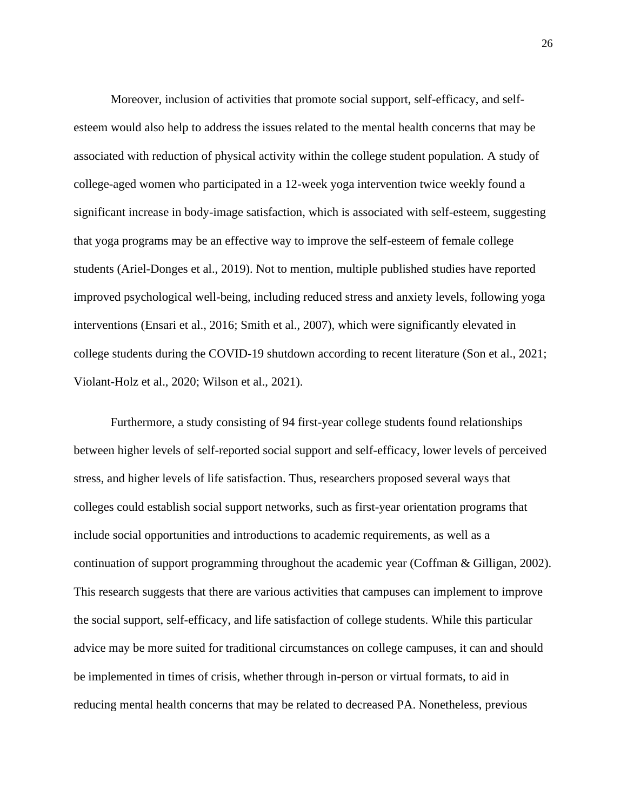Moreover, inclusion of activities that promote social support, self-efficacy, and selfesteem would also help to address the issues related to the mental health concerns that may be associated with reduction of physical activity within the college student population. A study of college-aged women who participated in a 12-week yoga intervention twice weekly found a significant increase in body-image satisfaction, which is associated with self-esteem, suggesting that yoga programs may be an effective way to improve the self-esteem of female college students (Ariel-Donges et al., 2019). Not to mention, multiple published studies have reported improved psychological well-being, including reduced stress and anxiety levels, following yoga interventions (Ensari et al., 2016; Smith et al., 2007), which were significantly elevated in college students during the COVID-19 shutdown according to recent literature (Son et al., 2021; Violant-Holz et al., 2020; Wilson et al., 2021).

Furthermore, a study consisting of 94 first-year college students found relationships between higher levels of self-reported social support and self-efficacy, lower levels of perceived stress, and higher levels of life satisfaction. Thus, researchers proposed several ways that colleges could establish social support networks, such as first-year orientation programs that include social opportunities and introductions to academic requirements, as well as a continuation of support programming throughout the academic year (Coffman & Gilligan, 2002). This research suggests that there are various activities that campuses can implement to improve the social support, self-efficacy, and life satisfaction of college students. While this particular advice may be more suited for traditional circumstances on college campuses, it can and should be implemented in times of crisis, whether through in-person or virtual formats, to aid in reducing mental health concerns that may be related to decreased PA. Nonetheless, previous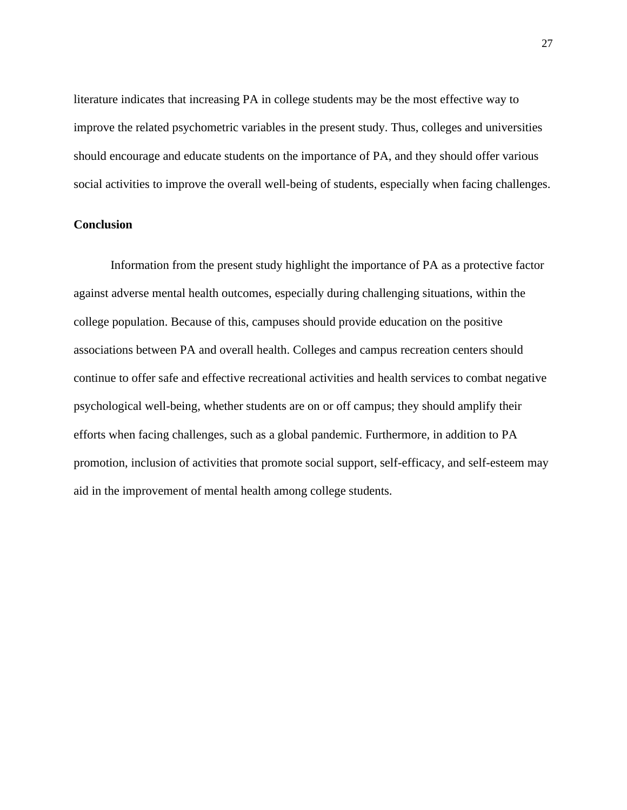literature indicates that increasing PA in college students may be the most effective way to improve the related psychometric variables in the present study. Thus, colleges and universities should encourage and educate students on the importance of PA, and they should offer various social activities to improve the overall well-being of students, especially when facing challenges.

## **Conclusion**

Information from the present study highlight the importance of PA as a protective factor against adverse mental health outcomes, especially during challenging situations, within the college population. Because of this, campuses should provide education on the positive associations between PA and overall health. Colleges and campus recreation centers should continue to offer safe and effective recreational activities and health services to combat negative psychological well-being, whether students are on or off campus; they should amplify their efforts when facing challenges, such as a global pandemic. Furthermore, in addition to PA promotion, inclusion of activities that promote social support, self-efficacy, and self-esteem may aid in the improvement of mental health among college students.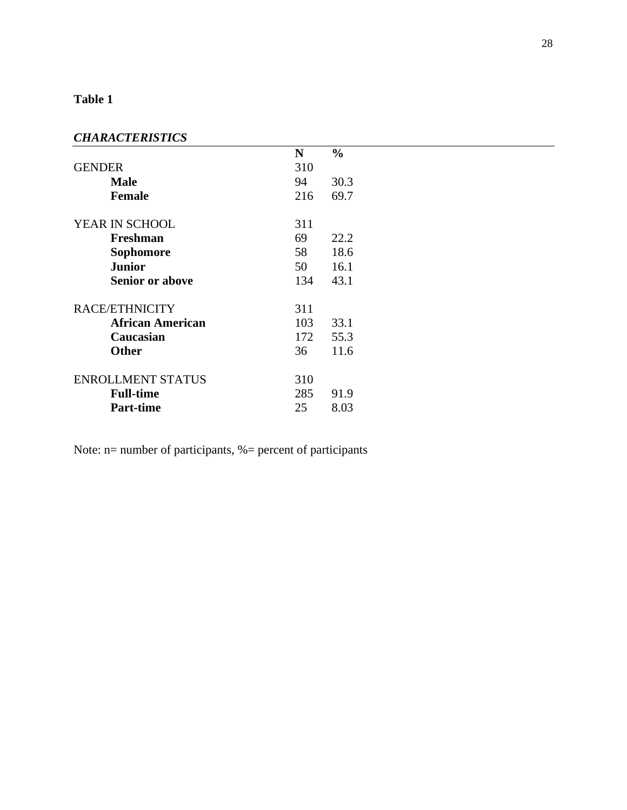## **Table 1**

## *CHARACTERISTICS*

| 111101012111011CD        |     |               |  |
|--------------------------|-----|---------------|--|
|                          | N   | $\frac{0}{0}$ |  |
| <b>GENDER</b>            | 310 |               |  |
| <b>Male</b>              | 94  | 30.3          |  |
| <b>Female</b>            | 216 | 69.7          |  |
| YEAR IN SCHOOL           | 311 |               |  |
| Freshman                 | 69  | 22.2          |  |
| <b>Sophomore</b>         | 58  | 18.6          |  |
| <b>Junior</b>            | 50  | 16.1          |  |
| <b>Senior or above</b>   | 134 | 43.1          |  |
| RACE/ETHNICITY           | 311 |               |  |
| <b>African American</b>  | 103 | 33.1          |  |
| Caucasian                | 172 | 55.3          |  |
| <b>Other</b>             | 36  | 11.6          |  |
| <b>ENROLLMENT STATUS</b> | 310 |               |  |
| <b>Full-time</b>         | 285 | 91.9          |  |
| <b>Part-time</b>         | 25  | 8.03          |  |

Note: n= number of participants, %= percent of participants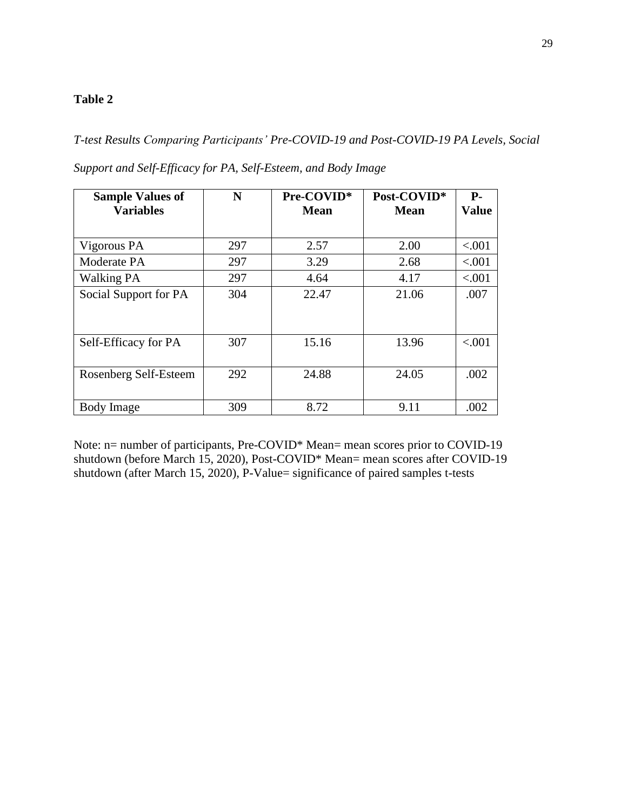## **Table 2**

*T-test Results Comparing Participants' Pre-COVID-19 and Post-COVID-19 PA Levels, Social* 

| <b>Sample Values of</b><br><b>Variables</b> | N   | Pre-COVID*<br>Mean | Post-COVID*<br>Mean | $P-$<br><b>Value</b> |
|---------------------------------------------|-----|--------------------|---------------------|----------------------|
|                                             |     |                    |                     |                      |
| Vigorous PA                                 | 297 | 2.57               | 2.00                | < .001               |
| Moderate PA                                 | 297 | 3.29               | 2.68                | < .001               |
| <b>Walking PA</b>                           | 297 | 4.64               | 4.17                | < .001               |
| Social Support for PA                       | 304 | 22.47              | 21.06               | .007                 |
|                                             |     |                    |                     |                      |
| Self-Efficacy for PA                        | 307 | 15.16              | 13.96               | < 0.001              |
| Rosenberg Self-Esteem                       | 292 | 24.88              | 24.05               | .002                 |
| Body Image                                  | 309 | 8.72               | 9.11                | .002                 |

*Support and Self-Efficacy for PA, Self-Esteem, and Body Image*

Note: n= number of participants, Pre-COVID\* Mean= mean scores prior to COVID-19 shutdown (before March 15, 2020), Post-COVID\* Mean= mean scores after COVID-19 shutdown (after March 15, 2020), P-Value= significance of paired samples t-tests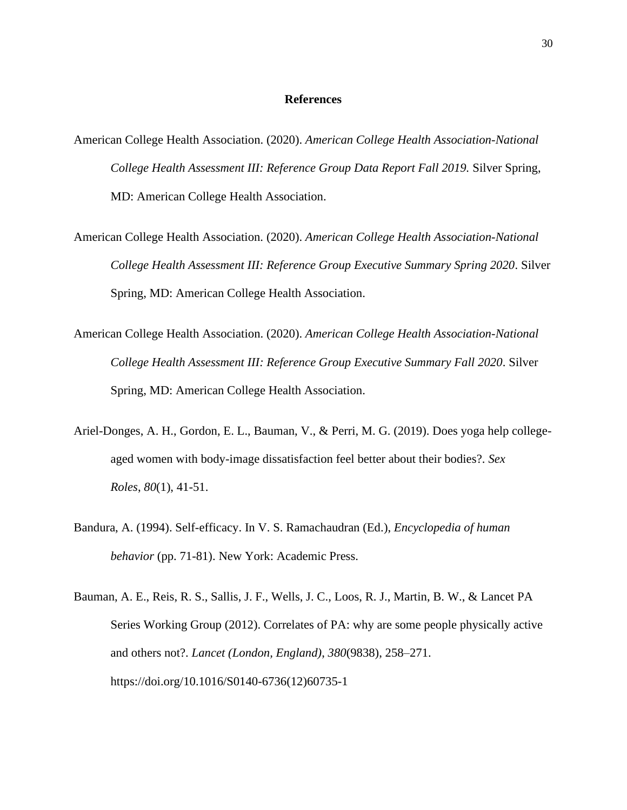## **References**

- American College Health Association. (2020). *American College Health Association-National College Health Assessment III: Reference Group Data Report Fall 2019.* Silver Spring, MD: American College Health Association.
- American College Health Association. (2020). *American College Health Association-National College Health Assessment III: Reference Group Executive Summary Spring 2020*. Silver Spring, MD: American College Health Association.
- American College Health Association. (2020). *American College Health Association-National College Health Assessment III: Reference Group Executive Summary Fall 2020*. Silver Spring, MD: American College Health Association.
- Ariel-Donges, A. H., Gordon, E. L., Bauman, V., & Perri, M. G. (2019). Does yoga help collegeaged women with body-image dissatisfaction feel better about their bodies?. *Sex Roles*, *80*(1), 41-51.
- Bandura, A. (1994). Self-efficacy. In V. S. Ramachaudran (Ed.), *Encyclopedia of human behavior* (pp. 71-81). New York: Academic Press.
- Bauman, A. E., Reis, R. S., Sallis, J. F., Wells, J. C., Loos, R. J., Martin, B. W., & Lancet PA Series Working Group (2012). Correlates of PA: why are some people physically active and others not?. *Lancet (London, England)*, *380*(9838), 258–271. https://doi.org/10.1016/S0140-6736(12)60735-1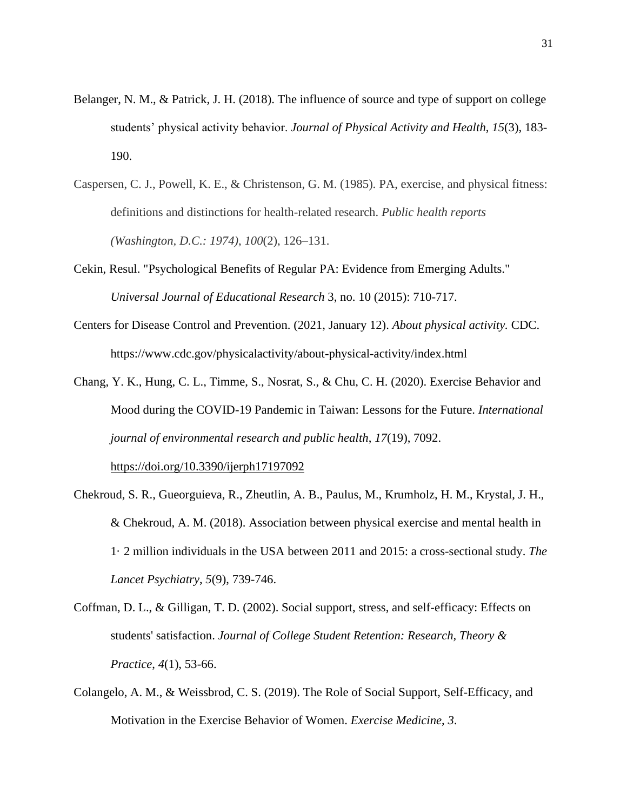- Belanger, N. M., & Patrick, J. H. (2018). The influence of source and type of support on college students' physical activity behavior. *Journal of Physical Activity and Health*, *15*(3), 183- 190.
- Caspersen, C. J., Powell, K. E., & Christenson, G. M. (1985). PA, exercise, and physical fitness: definitions and distinctions for health-related research. *Public health reports (Washington, D.C.: 1974)*, *100*(2), 126–131.
- Cekin, Resul. "Psychological Benefits of Regular PA: Evidence from Emerging Adults." *Universal Journal of Educational Research* 3, no. 10 (2015): 710-717.
- Centers for Disease Control and Prevention. (2021, January 12). *About physical activity.* CDC. https://www.cdc.gov/physicalactivity/about-physical-activity/index.html
- Chang, Y. K., Hung, C. L., Timme, S., Nosrat, S., & Chu, C. H. (2020). Exercise Behavior and Mood during the COVID-19 Pandemic in Taiwan: Lessons for the Future. *International journal of environmental research and public health*, *17*(19), 7092. <https://doi.org/10.3390/ijerph17197092>
- Chekroud, S. R., Gueorguieva, R., Zheutlin, A. B., Paulus, M., Krumholz, H. M., Krystal, J. H., & Chekroud, A. M. (2018). Association between physical exercise and mental health in 1· 2 million individuals in the USA between 2011 and 2015: a cross-sectional study. *The Lancet Psychiatry*, *5*(9), 739-746.
- Coffman, D. L., & Gilligan, T. D. (2002). Social support, stress, and self-efficacy: Effects on students' satisfaction. *Journal of College Student Retention: Research, Theory & Practice*, *4*(1), 53-66.
- Colangelo, A. M., & Weissbrod, C. S. (2019). The Role of Social Support, Self-Efficacy, and Motivation in the Exercise Behavior of Women. *Exercise Medicine*, *3*.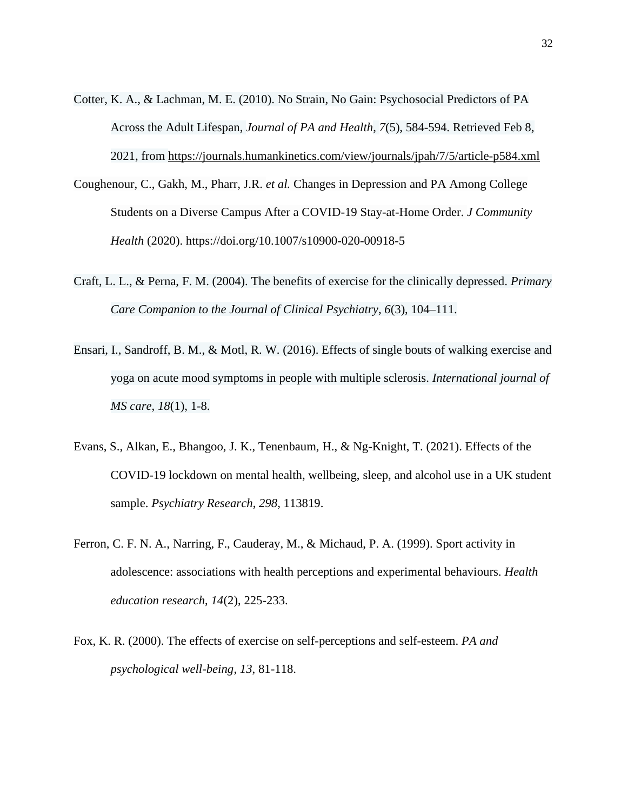- Cotter, K. A., & Lachman, M. E. (2010). No Strain, No Gain: Psychosocial Predictors of PA Across the Adult Lifespan, *Journal of PA and Health*, *7*(5), 584-594. Retrieved Feb 8, 2021, from<https://journals.humankinetics.com/view/journals/jpah/7/5/article-p584.xml>
- Coughenour, C., Gakh, M., Pharr, J.R. *et al.* Changes in Depression and PA Among College Students on a Diverse Campus After a COVID-19 Stay-at-Home Order. *J Community Health* (2020). https://doi.org/10.1007/s10900-020-00918-5
- Craft, L. L., & Perna, F. M. (2004). The benefits of exercise for the clinically depressed. *Primary Care Companion to the Journal of Clinical Psychiatry*, *6*(3), 104–111.
- Ensari, I., Sandroff, B. M., & Motl, R. W. (2016). Effects of single bouts of walking exercise and yoga on acute mood symptoms in people with multiple sclerosis. *International journal of MS care*, *18*(1), 1-8.
- Evans, S., Alkan, E., Bhangoo, J. K., Tenenbaum, H., & Ng-Knight, T. (2021). Effects of the COVID-19 lockdown on mental health, wellbeing, sleep, and alcohol use in a UK student sample. *Psychiatry Research*, *298*, 113819.
- Ferron, C. F. N. A., Narring, F., Cauderay, M., & Michaud, P. A. (1999). Sport activity in adolescence: associations with health perceptions and experimental behaviours. *Health education research*, *14*(2), 225-233.
- Fox, K. R. (2000). The effects of exercise on self-perceptions and self-esteem. *PA and psychological well-being*, *13*, 81-118.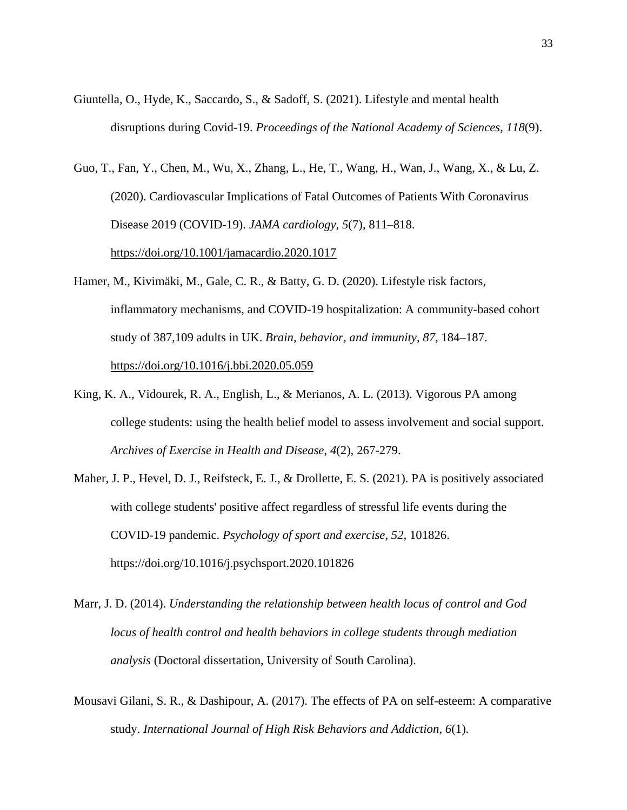- Giuntella, O., Hyde, K., Saccardo, S., & Sadoff, S. (2021). Lifestyle and mental health disruptions during Covid-19. *Proceedings of the National Academy of Sciences*, *118*(9).
- Guo, T., Fan, Y., Chen, M., Wu, X., Zhang, L., He, T., Wang, H., Wan, J., Wang, X., & Lu, Z. (2020). Cardiovascular Implications of Fatal Outcomes of Patients With Coronavirus Disease 2019 (COVID-19). *JAMA cardiology*, *5*(7), 811–818. <https://doi.org/10.1001/jamacardio.2020.1017>
- Hamer, M., Kivimäki, M., Gale, C. R., & Batty, G. D. (2020). Lifestyle risk factors, inflammatory mechanisms, and COVID-19 hospitalization: A community-based cohort study of 387,109 adults in UK. *Brain, behavior, and immunity*, *87*, 184–187. <https://doi.org/10.1016/j.bbi.2020.05.059>
- King, K. A., Vidourek, R. A., English, L., & Merianos, A. L. (2013). Vigorous PA among college students: using the health belief model to assess involvement and social support. *Archives of Exercise in Health and Disease*, *4*(2), 267-279.
- Maher, J. P., Hevel, D. J., Reifsteck, E. J., & Drollette, E. S. (2021). PA is positively associated with college students' positive affect regardless of stressful life events during the COVID-19 pandemic. *Psychology of sport and exercise*, *52*, 101826. https://doi.org/10.1016/j.psychsport.2020.101826
- Marr, J. D. (2014). *Understanding the relationship between health locus of control and God locus of health control and health behaviors in college students through mediation analysis* (Doctoral dissertation, University of South Carolina).
- Mousavi Gilani, S. R., & Dashipour, A. (2017). The effects of PA on self-esteem: A comparative study. *International Journal of High Risk Behaviors and Addiction*, *6*(1).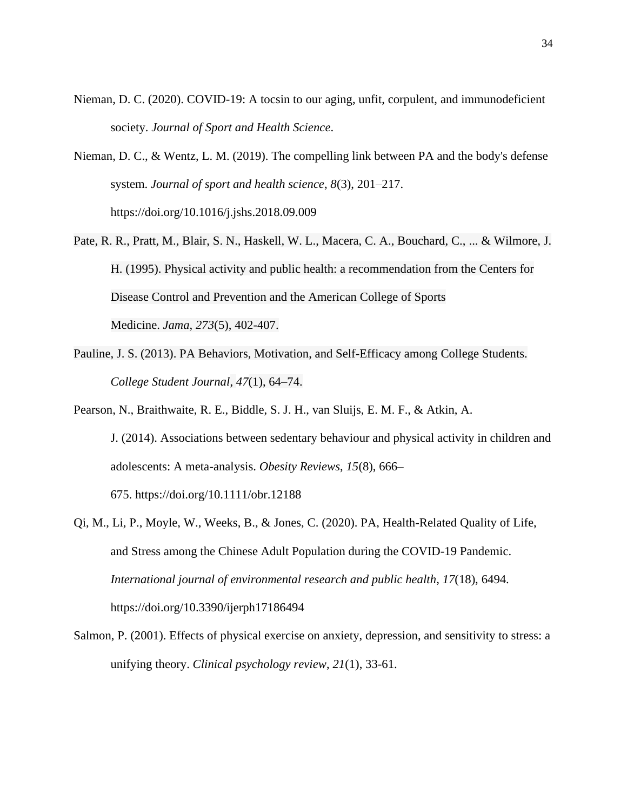- Nieman, D. C. (2020). COVID-19: A tocsin to our aging, unfit, corpulent, and immunodeficient society. *Journal of Sport and Health Science*.
- Nieman, D. C., & Wentz, L. M. (2019). The compelling link between PA and the body's defense system. *Journal of sport and health science*, *8*(3), 201–217. https://doi.org/10.1016/j.jshs.2018.09.009
- Pate, R. R., Pratt, M., Blair, S. N., Haskell, W. L., Macera, C. A., Bouchard, C., ... & Wilmore, J. H. (1995). Physical activity and public health: a recommendation from the Centers for Disease Control and Prevention and the American College of Sports Medicine. *Jama*, *273*(5), 402-407.
- Pauline, J. S. (2013). PA Behaviors, Motivation, and Self-Efficacy among College Students. *College Student Journal*, *47*(1), 64–74.
- Pearson, N., Braithwaite, R. E., Biddle, S. J. H., van Sluijs, E. M. F., & Atkin, A. J. (2014). Associations between sedentary behaviour and physical activity in children and adolescents: A meta-analysis. *Obesity Reviews*, *15*(8), 666– 675. https://doi.org/10.1111/obr.12188
- Qi, M., Li, P., Moyle, W., Weeks, B., & Jones, C. (2020). PA, Health-Related Quality of Life, and Stress among the Chinese Adult Population during the COVID-19 Pandemic. *International journal of environmental research and public health*, *17*(18), 6494. https://doi.org/10.3390/ijerph17186494
- Salmon, P. (2001). Effects of physical exercise on anxiety, depression, and sensitivity to stress: a unifying theory. *Clinical psychology review*, *21*(1), 33-61.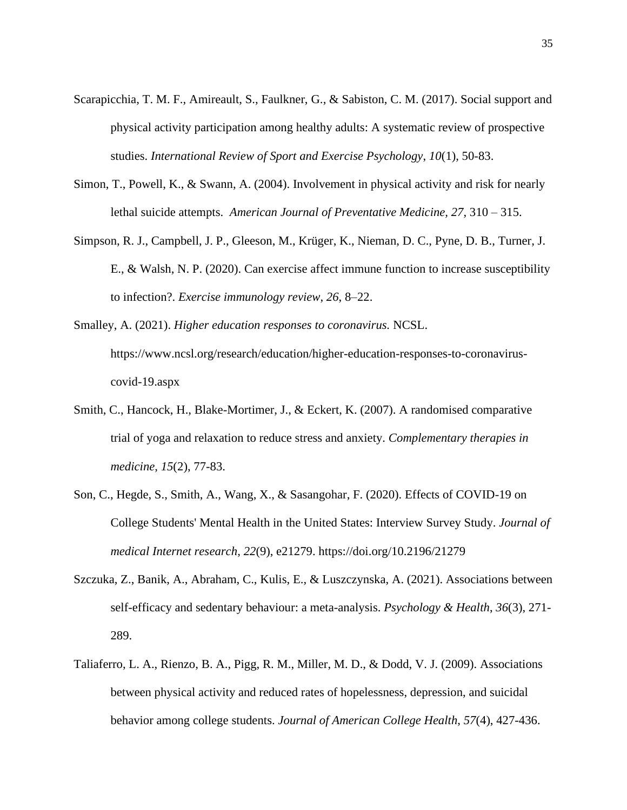- Scarapicchia, T. M. F., Amireault, S., Faulkner, G., & Sabiston, C. M. (2017). Social support and physical activity participation among healthy adults: A systematic review of prospective studies. *International Review of Sport and Exercise Psychology*, *10*(1), 50-83.
- Simon, T., Powell, K., & Swann, A. (2004). Involvement in physical activity and risk for nearly lethal suicide attempts. *American Journal of Preventative Medicine, 27*, 310 – 315.
- Simpson, R. J., Campbell, J. P., Gleeson, M., Krüger, K., Nieman, D. C., Pyne, D. B., Turner, J. E., & Walsh, N. P. (2020). Can exercise affect immune function to increase susceptibility to infection?. *Exercise immunology review*, *26*, 8–22.
- Smalley, A. (2021). *Higher education responses to coronavirus.* NCSL. https://www.ncsl.org/research/education/higher-education-responses-to-coronaviruscovid-19.aspx
- Smith, C., Hancock, H., Blake-Mortimer, J., & Eckert, K. (2007). A randomised comparative trial of yoga and relaxation to reduce stress and anxiety. *Complementary therapies in medicine*, *15*(2), 77-83.
- Son, C., Hegde, S., Smith, A., Wang, X., & Sasangohar, F. (2020). Effects of COVID-19 on College Students' Mental Health in the United States: Interview Survey Study. *Journal of medical Internet research*, *22*(9), e21279. https://doi.org/10.2196/21279
- Szczuka, Z., Banik, A., Abraham, C., Kulis, E., & Luszczynska, A. (2021). Associations between self-efficacy and sedentary behaviour: a meta-analysis. *Psychology & Health*, *36*(3), 271- 289.
- Taliaferro, L. A., Rienzo, B. A., Pigg, R. M., Miller, M. D., & Dodd, V. J. (2009). Associations between physical activity and reduced rates of hopelessness, depression, and suicidal behavior among college students. *Journal of American College Health*, *57*(4), 427-436.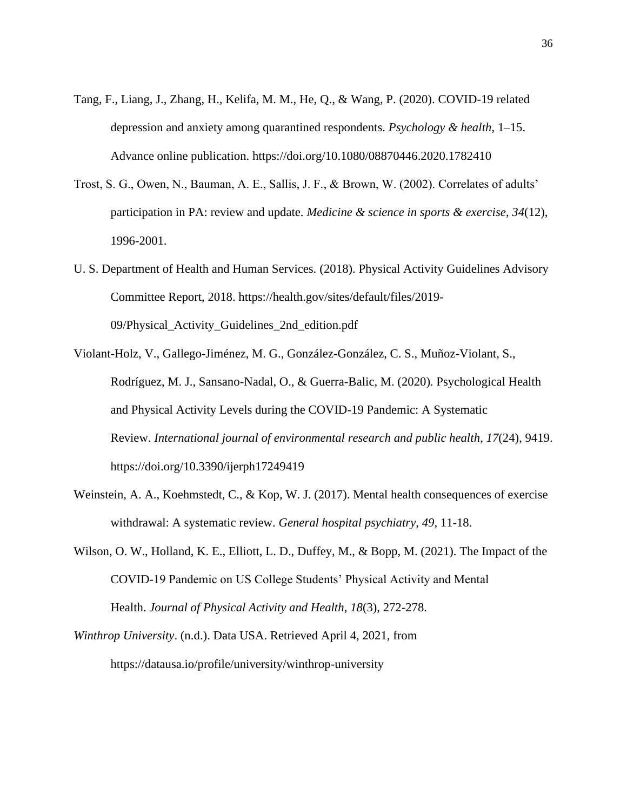- Tang, F., Liang, J., Zhang, H., Kelifa, M. M., He, Q., & Wang, P. (2020). COVID-19 related depression and anxiety among quarantined respondents. *Psychology & health*, 1–15. Advance online publication. https://doi.org/10.1080/08870446.2020.1782410
- Trost, S. G., Owen, N., Bauman, A. E., Sallis, J. F., & Brown, W. (2002). Correlates of adults' participation in PA: review and update. *Medicine & science in sports & exercise*, *34*(12), 1996-2001.
- U. S. Department of Health and Human Services. (2018). Physical Activity Guidelines Advisory Committee Report, 2018. https://health.gov/sites/default/files/2019- 09/Physical\_Activity\_Guidelines\_2nd\_edition.pdf
- Violant-Holz, V., Gallego-Jiménez, M. G., González-González, C. S., Muñoz-Violant, S., Rodríguez, M. J., Sansano-Nadal, O., & Guerra-Balic, M. (2020). Psychological Health and Physical Activity Levels during the COVID-19 Pandemic: A Systematic Review. *International journal of environmental research and public health*, *17*(24), 9419. https://doi.org/10.3390/ijerph17249419
- Weinstein, A. A., Koehmstedt, C., & Kop, W. J. (2017). Mental health consequences of exercise withdrawal: A systematic review. *General hospital psychiatry*, *49*, 11-18.
- Wilson, O. W., Holland, K. E., Elliott, L. D., Duffey, M., & Bopp, M. (2021). The Impact of the COVID-19 Pandemic on US College Students' Physical Activity and Mental Health. *Journal of Physical Activity and Health*, *18*(3), 272-278.
- *Winthrop University*. (n.d.). Data USA. Retrieved April 4, 2021, from https://datausa.io/profile/university/winthrop-university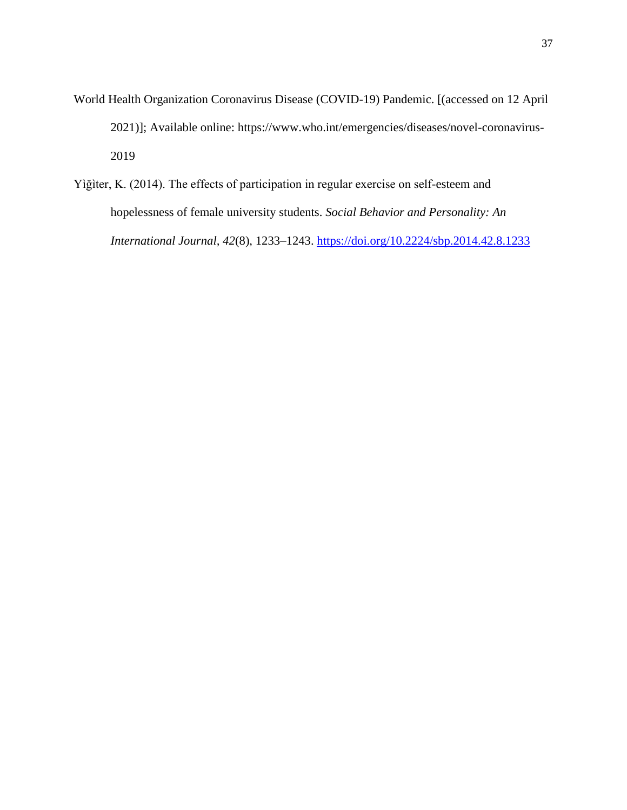- World Health Organization Coronavirus Disease (COVID-19) Pandemic. [(accessed on 12 April 2021)]; Available online: https://www.who.int/emergencies/diseases/novel-coronavirus-2019
- Yìğìter, K. (2014). The effects of participation in regular exercise on self-esteem and hopelessness of female university students. *Social Behavior and Personality: An International Journal, 42*(8), 1233–1243. [https://doi.org/10.2224/sbp.2014.42.8.1233](https://psycnet.apa.org/doi/10.2224/sbp.2014.42.8.1233)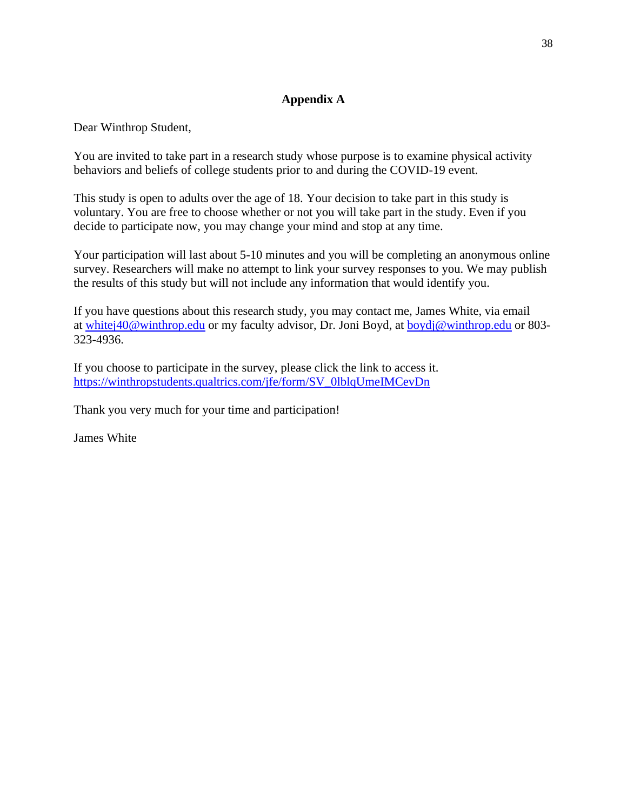## **Appendix A**

Dear Winthrop Student,

You are invited to take part in a research study whose purpose is to examine physical activity behaviors and beliefs of college students prior to and during the COVID-19 event.

This study is open to adults over the age of 18. Your decision to take part in this study is voluntary. You are free to choose whether or not you will take part in the study. Even if you decide to participate now, you may change your mind and stop at any time.

Your participation will last about 5-10 minutes and you will be completing an anonymous online survey. Researchers will make no attempt to link your survey responses to you. We may publish the results of this study but will not include any information that would identify you.

If you have questions about this research study, you may contact me, James White, via email at [whitej40@winthrop.edu](mailto:whitej40@winthrop.edu) or my faculty advisor, Dr. Joni Boyd, at [boydj@winthrop.edu](mailto:boydj@winthrop.edu) or 803- 323-4936.

If you choose to participate in the survey, please click the link to access it. [https://winthropstudents.qualtrics.com/jfe/form/SV\\_0lblqUmeIMCevDn](https://winthropstudents.qualtrics.com/jfe/form/SV_0lblqUmeIMCevDn)

Thank you very much for your time and participation!

James White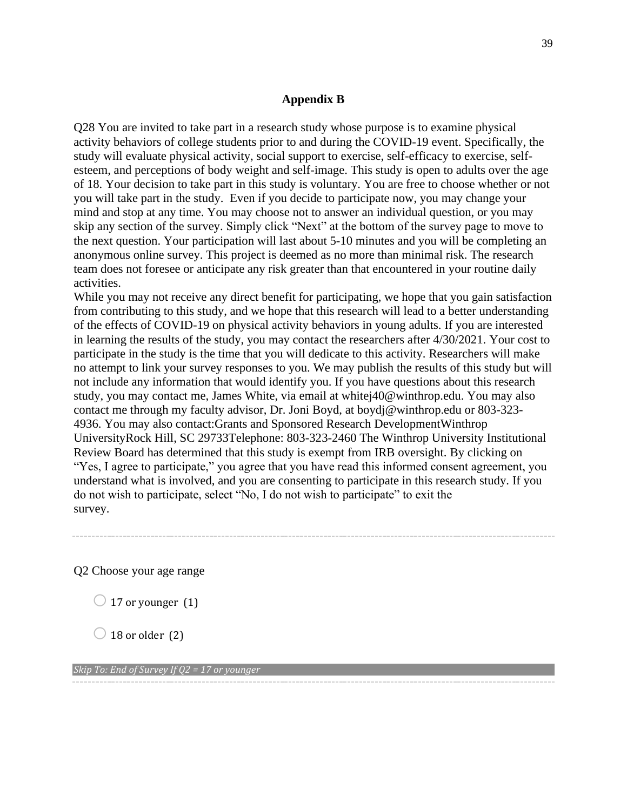## **Appendix B**

Q28 You are invited to take part in a research study whose purpose is to examine physical activity behaviors of college students prior to and during the COVID-19 event. Specifically, the study will evaluate physical activity, social support to exercise, self-efficacy to exercise, selfesteem, and perceptions of body weight and self-image. This study is open to adults over the age of 18. Your decision to take part in this study is voluntary. You are free to choose whether or not you will take part in the study. Even if you decide to participate now, you may change your mind and stop at any time. You may choose not to answer an individual question, or you may skip any section of the survey. Simply click "Next" at the bottom of the survey page to move to the next question. Your participation will last about 5-10 minutes and you will be completing an anonymous online survey. This project is deemed as no more than minimal risk. The research team does not foresee or anticipate any risk greater than that encountered in your routine daily activities.

While you may not receive any direct benefit for participating, we hope that you gain satisfaction from contributing to this study, and we hope that this research will lead to a better understanding of the effects of COVID-19 on physical activity behaviors in young adults. If you are interested in learning the results of the study, you may contact the researchers after 4/30/2021. Your cost to participate in the study is the time that you will dedicate to this activity. Researchers will make no attempt to link your survey responses to you. We may publish the results of this study but will not include any information that would identify you. If you have questions about this research study, you may contact me, James White, via email at whitej40@winthrop.edu. You may also contact me through my faculty advisor, Dr. Joni Boyd, at boydj@winthrop.edu or 803-323- 4936. You may also contact:Grants and Sponsored Research DevelopmentWinthrop UniversityRock Hill, SC 29733Telephone: 803-323-2460 The Winthrop University Institutional Review Board has determined that this study is exempt from IRB oversight. By clicking on "Yes, I agree to participate," you agree that you have read this informed consent agreement, you understand what is involved, and you are consenting to participate in this research study. If you do not wish to participate, select "No, I do not wish to participate" to exit the survey.

Q2 Choose your age range

- $\bigcirc$  17 or younger (1)
- $\bigcirc$  18 or older (2)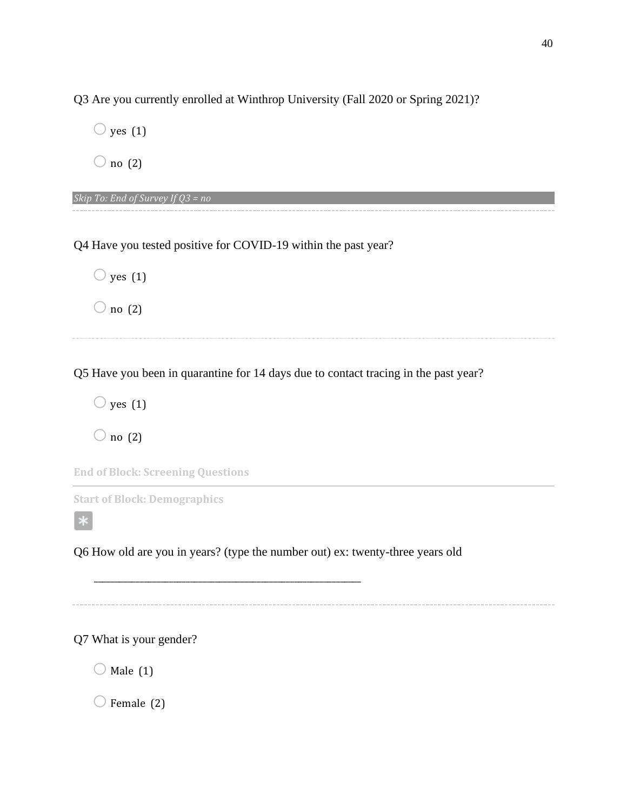Q3 Are you currently enrolled at Winthrop University (Fall 2020 or Spring 2021)?

 $\bigcirc$  yes (1)

 $\bigcirc$  no (2)

*Skip To: End of Survey If Q3 = no*

Q4 Have you tested positive for COVID-19 within the past year?

 $\bigcirc$  yes (1)  $\bigcirc$  no (2)

Q5 Have you been in quarantine for 14 days due to contact tracing in the past year?

 $\bigcirc$  yes (1)

 $\bigcirc$  no (2)

**End of Block: Screening Questions**

**Start of Block: Demographics**

Q6 How old are you in years? (type the number out) ex: twenty-three years old

\_\_\_\_\_\_\_\_\_\_\_\_\_\_\_\_\_\_\_\_\_\_\_\_\_\_\_\_\_\_\_\_\_\_\_\_\_\_\_\_\_\_\_\_\_\_\_\_\_\_\_\_\_\_\_\_\_\_\_\_\_\_\_\_

Q7 What is your gender?

 $\bigcirc$  Male (1)

 $\bigcirc$  Female (2)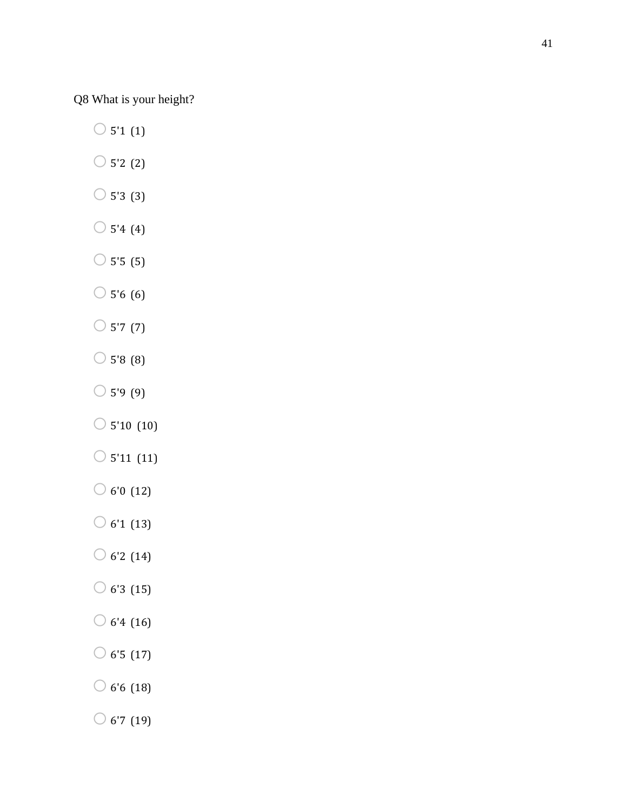Q8 What is your height?

 $\bigcirc$  5'1 (1)

- $\bigcirc$  5'2 (2)
- $\bigcirc$  5'3 (3)
- $\bigcirc$  5'4 (4)
- $\circ$  5'5 (5)
- $\bigcirc$  5'6 (6)
- $\bigcirc$  5'7 (7)
- $\bigcirc$  5'8 (8)
- $\bigcirc$  5'9 (9)
- $\bigcirc$  5'10 (10)
- $\bigcirc$  5'11 (11)
- $\bigcirc$  6'0 (12)
- $\bigcirc$  6'1 (13)
- $\bigcirc$  6'2 (14)
- $\bigcirc$  6'3 (15)
- $\bigcirc$  6'4 (16)
- $\bigcirc$  6'5 (17)
- $\bigcirc$  6'6 (18)
- $\bigcirc$  6'7 (19)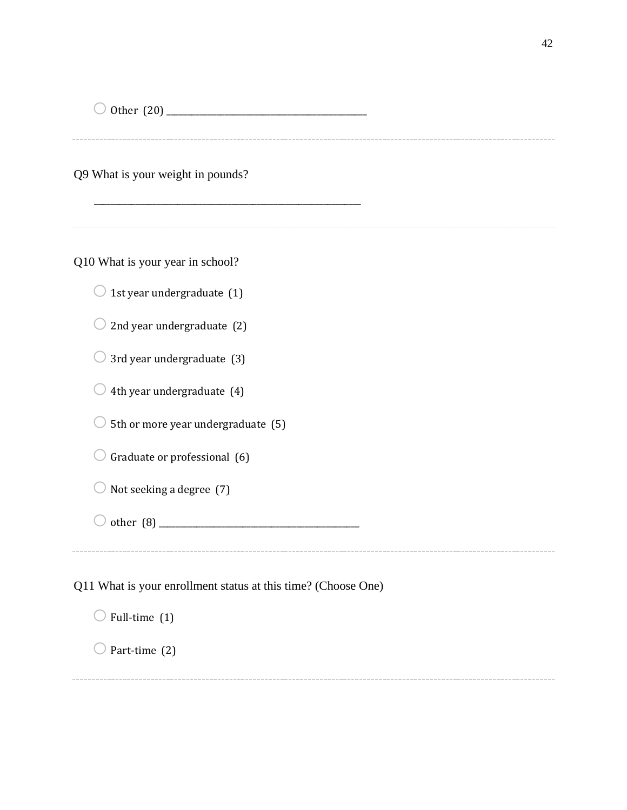o Other (20) \_\_\_\_\_\_\_\_\_\_\_\_\_\_\_\_\_\_\_\_\_\_\_\_\_\_\_\_\_\_\_\_\_\_\_\_\_\_\_\_\_\_\_\_\_\_\_\_

Q9 What is your weight in pounds?

Q10 What is your year in school?

 $\bigcirc$  1st year undergraduate (1)

 $\bigcirc$  2nd year undergraduate (2)

 $\bigcirc$  3rd year undergraduate (3)

 $\bigcirc$  4th year undergraduate (4)

 $\bigcirc$  5th or more year undergraduate (5)

 $\bigcirc$  Graduate or professional (6)

 $\bigcirc$  Not seeking a degree (7)

oother (8) \_\_\_\_\_\_\_\_\_\_\_\_\_\_\_\_\_\_\_\_\_\_\_\_\_\_\_\_\_\_\_\_\_\_\_\_\_\_\_\_\_\_\_\_\_\_\_\_

\_\_\_\_\_\_\_\_\_\_\_\_\_\_\_\_\_\_\_\_\_\_\_\_\_\_\_\_\_\_\_\_\_\_\_\_\_\_\_\_\_\_\_\_\_\_\_\_\_\_\_\_\_\_\_\_\_\_\_\_\_\_\_\_

Q11 What is your enrollment status at this time? (Choose One)

 $\bigcirc$  Full-time (1)

 $\bigcirc$  Part-time (2)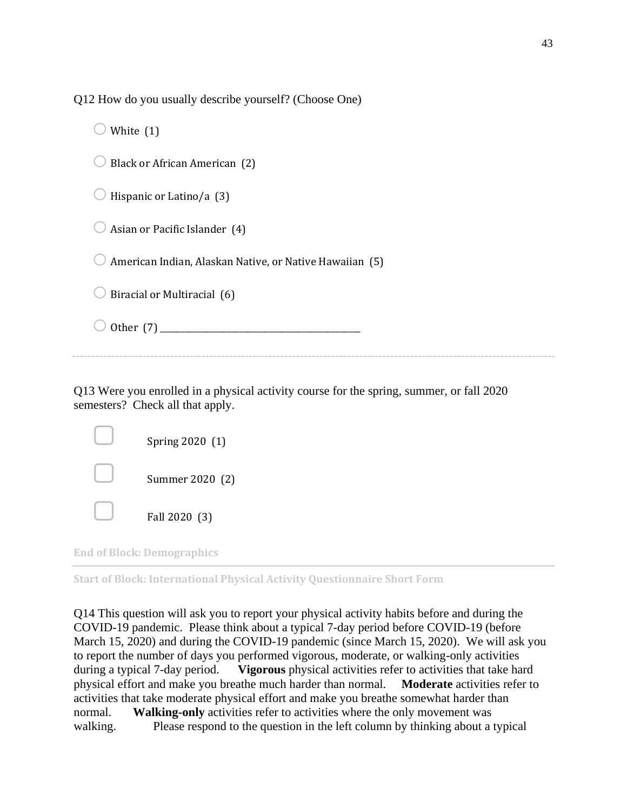Q12 How do you usually describe yourself? (Choose One)

| White $(1)$                                             |
|---------------------------------------------------------|
| Black or African American (2)                           |
| Hispanic or Latino/a (3)                                |
| Asian or Pacific Islander (4)                           |
| American Indian, Alaskan Native, or Native Hawaiian (5) |
| Biracial or Multiracial (6)                             |
| Other $(7)$                                             |
|                                                         |

Q13 Were you enrolled in a physical activity course for the spring, summer, or fall 2020 semesters? Check all that apply.

| Spring 2020 (1) |
|-----------------|
| Summer 2020 (2) |
| Fall 2020 (3)   |

**End of Block: Demographics**

**Start of Block: International Physical Activity Questionnaire Short Form**

Q14 This question will ask you to report your physical activity habits before and during the COVID-19 pandemic. Please think about a typical 7-day period before COVID-19 (before March 15, 2020) and during the COVID-19 pandemic (since March 15, 2020). We will ask you to report the number of days you performed vigorous, moderate, or walking-only activities during a typical 7-day period. **Vigorous** physical activities refer to activities that take hard physical effort and make you breathe much harder than normal. **Moderate** activities refer to activities that take moderate physical effort and make you breathe somewhat harder than normal. **Walking-only** activities refer to activities where the only movement was walking. Please respond to the question in the left column by thinking about a typical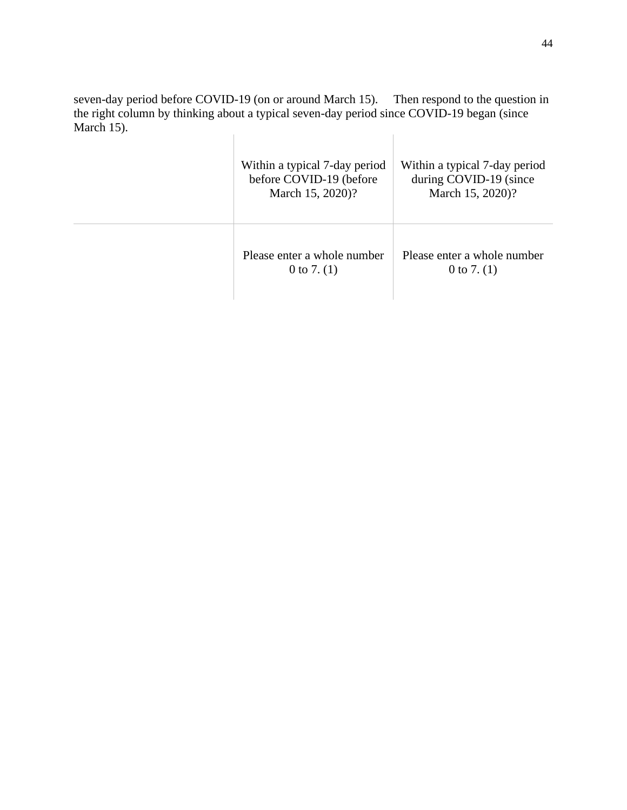seven-day period before COVID-19 (on or around March 15). Then respond to the question in the right column by thinking about a typical seven-day period since COVID-19 began (since March 15).  $\mathbb{R}$  $\begin{array}{c} \hline \end{array}$ 

| Within a typical 7-day period<br>before COVID-19 (before<br>March 15, 2020)? | Within a typical 7-day period<br>during COVID-19 (since<br>March 15, 2020)? |
|------------------------------------------------------------------------------|-----------------------------------------------------------------------------|
| Please enter a whole number<br>0 to 7. $(1)$                                 | Please enter a whole number<br>0 to 7. $(1)$                                |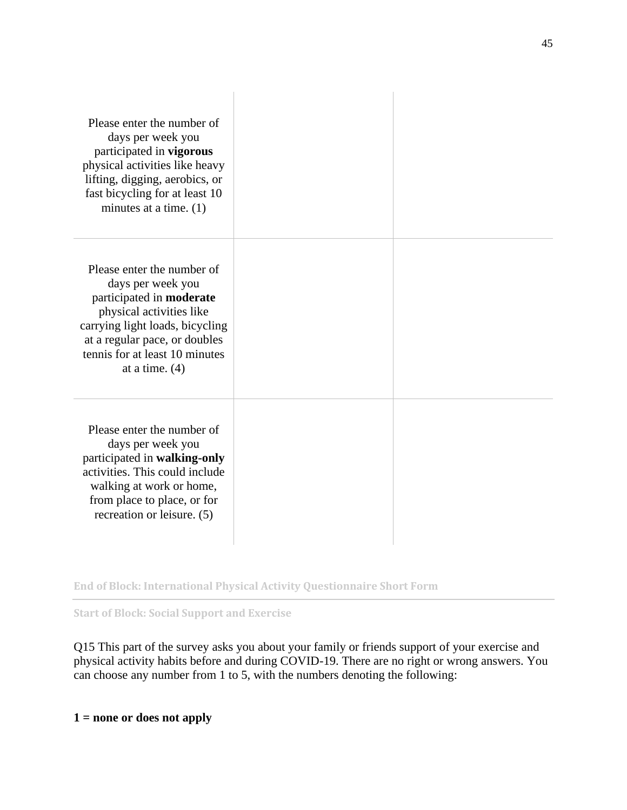| Please enter the number of<br>days per week you<br>participated in vigorous<br>physical activities like heavy<br>lifting, digging, aerobics, or<br>fast bicycling for at least 10<br>minutes at a time. $(1)$                     |  |
|-----------------------------------------------------------------------------------------------------------------------------------------------------------------------------------------------------------------------------------|--|
| Please enter the number of<br>days per week you<br>participated in moderate<br>physical activities like<br>carrying light loads, bicycling<br>at a regular pace, or doubles<br>tennis for at least 10 minutes<br>at a time. $(4)$ |  |
| Please enter the number of<br>days per week you<br>participated in walking-only<br>activities. This could include<br>walking at work or home,<br>from place to place, or for<br>recreation or leisure. (5)                        |  |

**End of Block: International Physical Activity Questionnaire Short Form**

**Start of Block: Social Support and Exercise**

Q15 This part of the survey asks you about your family or friends support of your exercise and physical activity habits before and during COVID-19. There are no right or wrong answers. You can choose any number from 1 to 5, with the numbers denoting the following:

**1 = none or does not apply**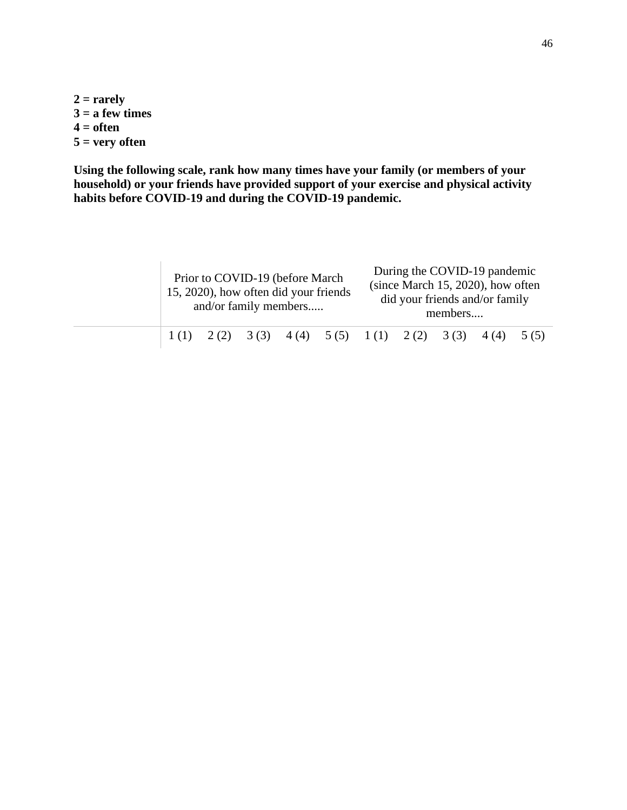**2 = rarely**  $3 = a$  few times **4 = often 5 = very often**

**Using the following scale, rank how many times have your family (or members of your household) or your friends have provided support of your exercise and physical activity habits before COVID-19 and during the COVID-19 pandemic.**

|  |  | Prior to COVID-19 (before March<br>15, 2020), how often did your friends<br>and/or family members |                                                                       |  | members | During the COVID-19 pandemic<br>(since March 15, 2020), how often<br>did your friends and/or family |  |
|--|--|---------------------------------------------------------------------------------------------------|-----------------------------------------------------------------------|--|---------|-----------------------------------------------------------------------------------------------------|--|
|  |  |                                                                                                   | $1(1)$ $2(2)$ $3(3)$ $4(4)$ $5(5)$ $1(1)$ $2(2)$ $3(3)$ $4(4)$ $5(5)$ |  |         |                                                                                                     |  |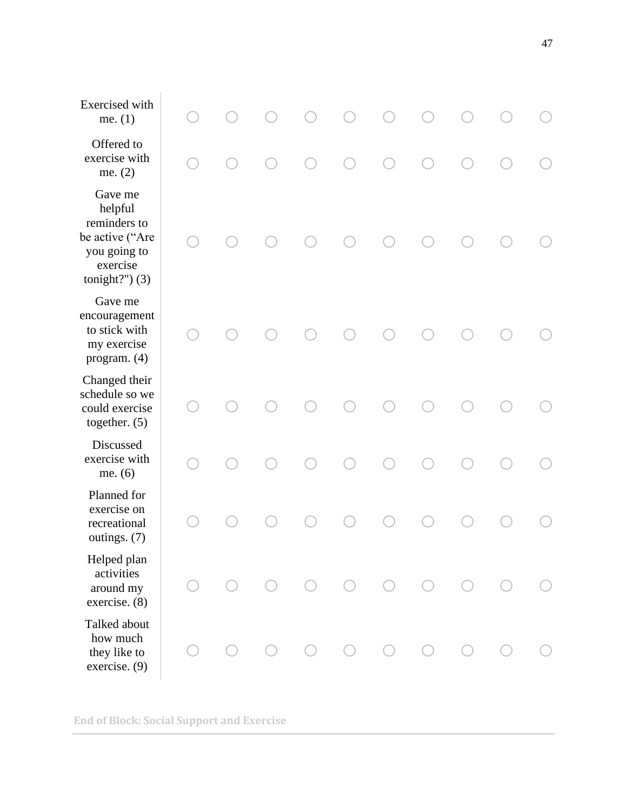| Exercised with<br>me. $(1)$                                                                            |  |           |            |            |  |  |
|--------------------------------------------------------------------------------------------------------|--|-----------|------------|------------|--|--|
| Offered to<br>exercise with<br>me. $(2)$                                                               |  |           |            |            |  |  |
| Gave me<br>helpful<br>reminders to<br>be active ("Are<br>you going to<br>exercise<br>tonight?" $)$ (3) |  |           |            |            |  |  |
| Gave me<br>encouragement<br>to stick with<br>my exercise<br>program. (4)                               |  |           |            |            |  |  |
| Changed their<br>schedule so we<br>could exercise<br>together. $(5)$                                   |  |           |            |            |  |  |
| Discussed<br>exercise with<br>me. $(6)$                                                                |  |           |            |            |  |  |
| Planned for<br>exercise on<br>recreational<br>outings. (7)                                             |  |           |            |            |  |  |
| Helped plan<br>activities<br>around my<br>exercise. (8)                                                |  | $\bigcap$ | $\bigcirc$ | $\bigcirc$ |  |  |
| Talked about<br>how much<br>they like to<br>exercise. (9)                                              |  |           | $\bigcap$  |            |  |  |

**End of Block: Social Support and Exercise**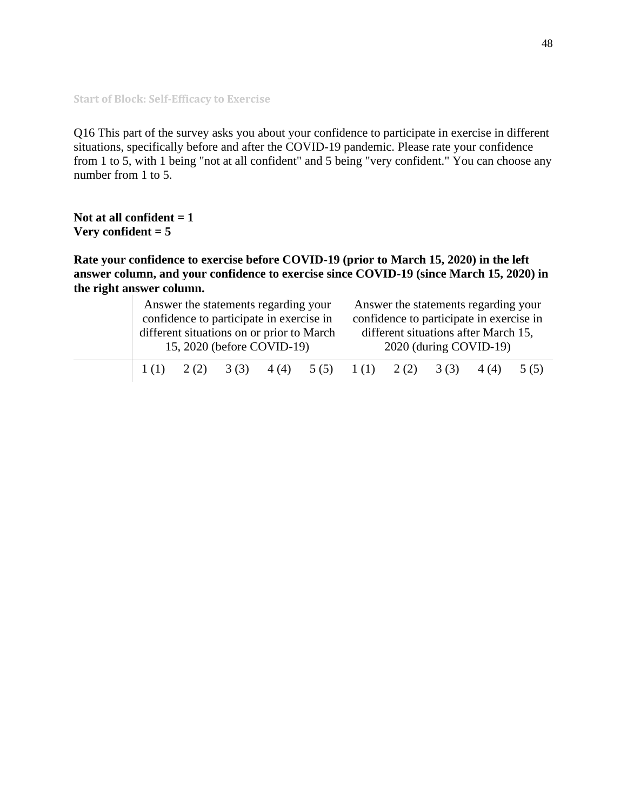**Start of Block: Self-Efficacy to Exercise**

Q16 This part of the survey asks you about your confidence to participate in exercise in different situations, specifically before and after the COVID-19 pandemic. Please rate your confidence from 1 to 5, with 1 being "not at all confident" and 5 being "very confident." You can choose any number from 1 to 5.

**Not at all confident = 1 Very confident = 5**

**Rate your confidence to exercise before COVID-19 (prior to March 15, 2020) in the left answer column, and your confidence to exercise since COVID-19 (since March 15, 2020) in the right answer column.**

|  |               | Answer the statements regarding your      |  | Answer the statements regarding your<br>confidence to participate in exercise in |  |      |                        |       |      |
|--|---------------|-------------------------------------------|--|----------------------------------------------------------------------------------|--|------|------------------------|-------|------|
|  |               | confidence to participate in exercise in  |  |                                                                                  |  |      |                        |       |      |
|  |               | different situations on or prior to March |  | different situations after March 15,                                             |  |      |                        |       |      |
|  |               | 15, 2020 (before COVID-19)                |  |                                                                                  |  |      | 2020 (during COVID-19) |       |      |
|  | $1(1)$ $2(2)$ | 3(3)                                      |  | $4(4)$ $5(5)$ $1(1)$                                                             |  | 2(2) | 3(3)                   | 4 (4) | 5(5) |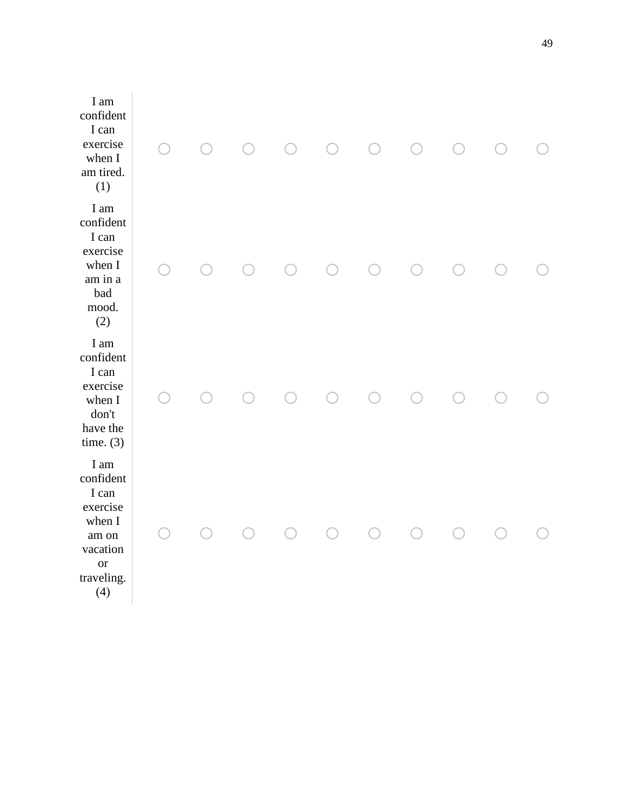| I am<br>confident<br>I can<br>exercise<br>when I<br>am tired.<br>(1)                                    |  | $\bigcap$ | $\left(\begin{array}{c} \end{array}\right)$ |  |  |
|---------------------------------------------------------------------------------------------------------|--|-----------|---------------------------------------------|--|--|
| I am<br>confident<br>I can<br>exercise<br>when I<br>am in a<br>bad<br>mood.<br>(2)                      |  |           |                                             |  |  |
| I am<br>confident<br>I can<br>exercise<br>when I<br>don't<br>have the<br>time. $(3)$                    |  |           |                                             |  |  |
| I am<br>confident<br>I can<br>exercise<br>when I<br>am on<br>vacation<br><b>or</b><br>traveling.<br>(4) |  |           |                                             |  |  |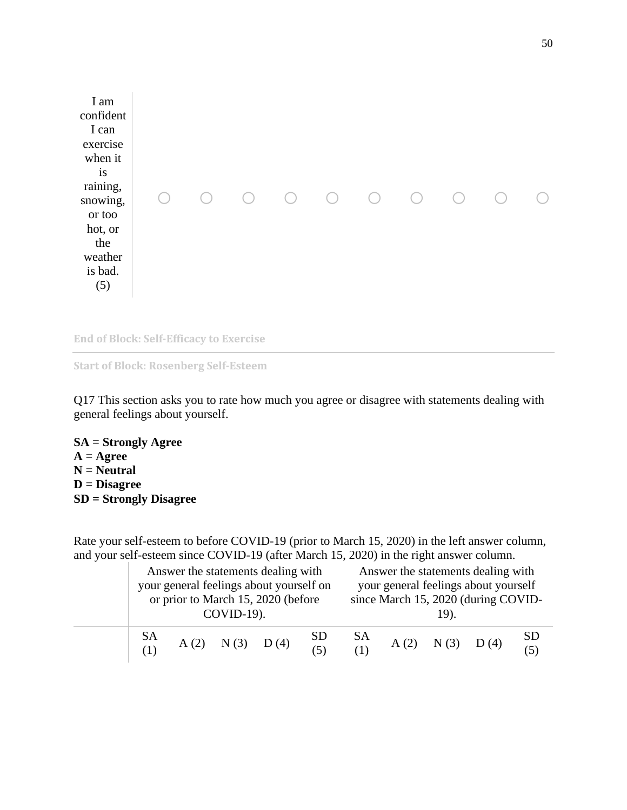

**End of Block: Self-Efficacy to Exercise**

```
Start of Block: Rosenberg Self-Esteem
```
Q17 This section asks you to rate how much you agree or disagree with statements dealing with general feelings about yourself.

**SA = Strongly Agree A = Agree N = Neutral D = Disagree SD = Strongly Disagree**

Rate your self-esteem to before COVID-19 (prior to March 15, 2020) in the left answer column, and your self-esteem since COVID-19 (after March 15, 2020) in the right answer column.

|          | $COVID-19$ ).        | Answer the statements dealing with<br>your general feelings about yourself on<br>or prior to March 15, 2020 (before | Answer the statements dealing with<br>your general feelings about yourself<br>since March 15, 2020 (during COVID- |             |  |                      |  |                  |
|----------|----------------------|---------------------------------------------------------------------------------------------------------------------|-------------------------------------------------------------------------------------------------------------------|-------------|--|----------------------|--|------------------|
| $SA$ (1) | $A(2)$ $N(3)$ $D(4)$ |                                                                                                                     | $SD$<br>(5)                                                                                                       | - SA<br>(1) |  | $A(2)$ $N(3)$ $D(4)$ |  | <b>SD</b><br>(5) |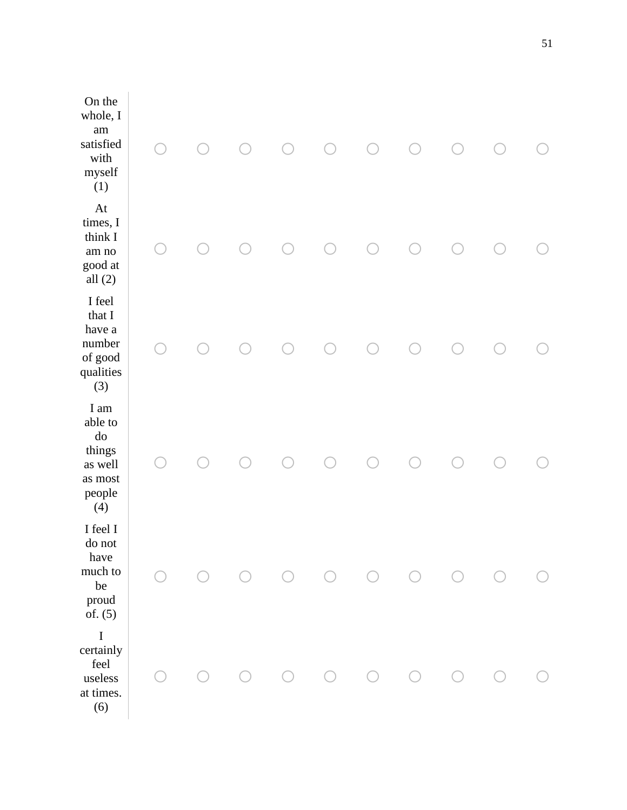| On the<br>whole, I<br>am<br>$\rm satisfied$<br>with<br>myself<br>(1)         |  |  |  |  |  |
|------------------------------------------------------------------------------|--|--|--|--|--|
| At<br>times, I<br>think I<br>am no<br>good at<br>all $(2)$                   |  |  |  |  |  |
| I feel<br>that I<br>have a<br>number<br>of good<br>qualities<br>(3)          |  |  |  |  |  |
| I am<br>able to<br>$\rm do$<br>things<br>as well<br>as most<br>people<br>(4) |  |  |  |  |  |
| I feel I<br>do not<br>have<br>much to<br>$\rm be$<br>proud<br>of. $(5)$      |  |  |  |  |  |
| $\bf I$<br>certainly<br>feel<br>useless<br>at times.<br>(6)                  |  |  |  |  |  |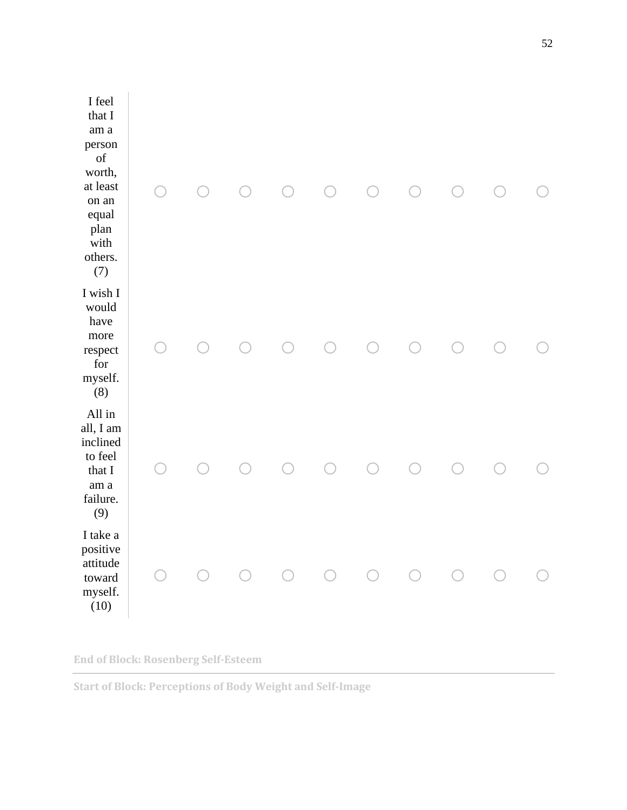| I feel<br>that I<br>am <sub>a</sub><br>person<br>of<br>worth,<br>at least<br>on an<br>equal<br>plan<br>with<br>others.<br>(7) |  |  |  |  |  |
|-------------------------------------------------------------------------------------------------------------------------------|--|--|--|--|--|
| I wish I<br>would<br>have<br>more<br>respect<br>for<br>myself.<br>(8)                                                         |  |  |  |  |  |
| All in<br>all, I am<br>inclined<br>to feel<br>that I<br>am <sub>a</sub><br>failure.<br>(9)                                    |  |  |  |  |  |
| I take a<br>positive<br>attitude<br>toward<br>myself.<br>(10)                                                                 |  |  |  |  |  |

**End of Block: Rosenberg Self-Esteem**

**Start of Block: Perceptions of Body Weight and Self-Image**